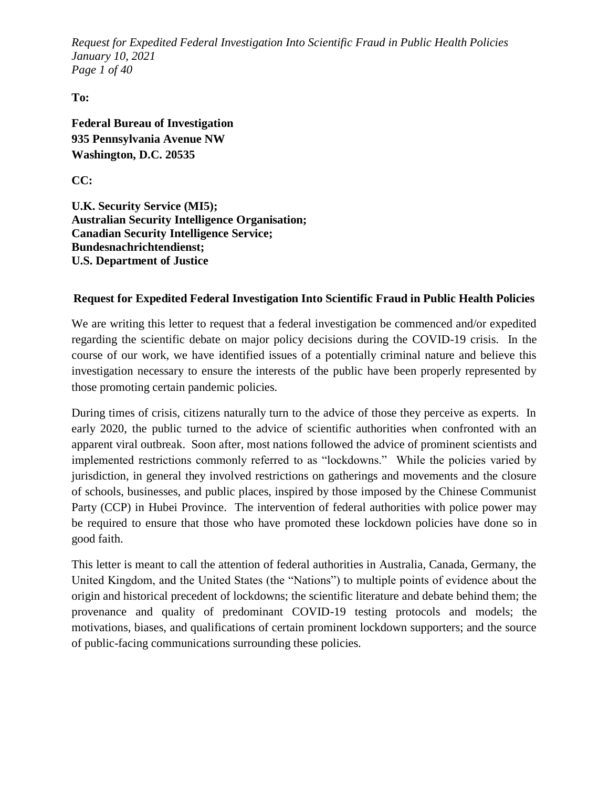*Request for Expedited Federal Investigation Into Scientific Fraud in Public Health Policies January 10, 2021 Page 1 of 40*

**To:** 

**Federal Bureau of Investigation 935 Pennsylvania Avenue NW Washington, D.C. 20535**

**CC:**

**U.K. Security Service (MI5); Australian Security Intelligence Organisation; Canadian Security Intelligence Service; Bundesnachrichtendienst; U.S. Department of Justice**

#### **Request for Expedited Federal Investigation Into Scientific Fraud in Public Health Policies**

We are writing this letter to request that a federal investigation be commenced and/or expedited regarding the scientific debate on major policy decisions during the COVID-19 crisis. In the course of our work, we have identified issues of a potentially criminal nature and believe this investigation necessary to ensure the interests of the public have been properly represented by those promoting certain pandemic policies.

During times of crisis, citizens naturally turn to the advice of those they perceive as experts. In early 2020, the public turned to the advice of scientific authorities when confronted with an apparent viral outbreak. Soon after, most nations followed the advice of prominent scientists and implemented restrictions commonly referred to as "lockdowns." While the policies varied by jurisdiction, in general they involved restrictions on gatherings and movements and the closure of schools, businesses, and public places, inspired by those imposed by the Chinese Communist Party (CCP) in Hubei Province. The intervention of federal authorities with police power may be required to ensure that those who have promoted these lockdown policies have done so in good faith.

This letter is meant to call the attention of federal authorities in Australia, Canada, Germany, the United Kingdom, and the United States (the "Nations") to multiple points of evidence about the origin and historical precedent of lockdowns; the scientific literature and debate behind them; the provenance and quality of predominant COVID-19 testing protocols and models; the motivations, biases, and qualifications of certain prominent lockdown supporters; and the source of public-facing communications surrounding these policies.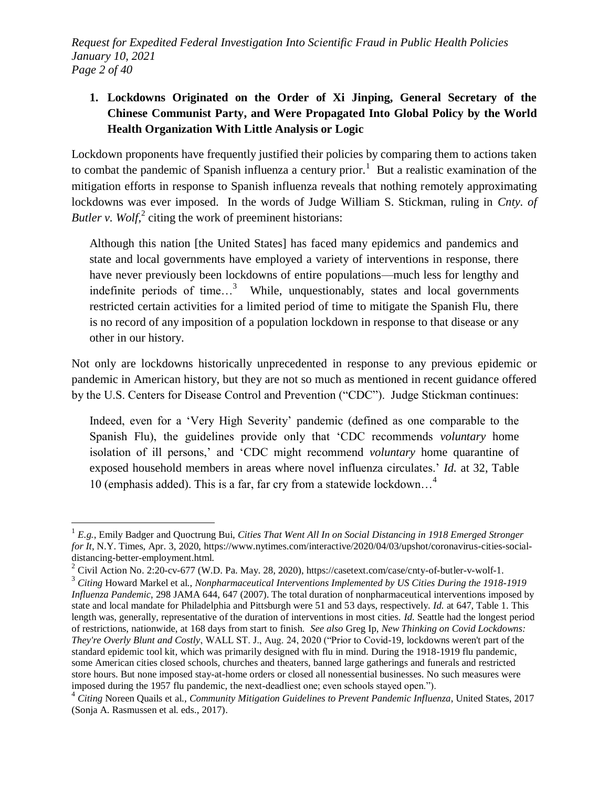*Request for Expedited Federal Investigation Into Scientific Fraud in Public Health Policies January 10, 2021 Page 2 of 40*

# **1. Lockdowns Originated on the Order of Xi Jinping, General Secretary of the Chinese Communist Party, and Were Propagated Into Global Policy by the World Health Organization With Little Analysis or Logic**

Lockdown proponents have frequently justified their policies by comparing them to actions taken to combat the pandemic of Spanish influenza a century prior.<sup>1</sup> But a realistic examination of the mitigation efforts in response to Spanish influenza reveals that nothing remotely approximating lockdowns was ever imposed. In the words of Judge William S. Stickman, ruling in *Cnty. of Butler v. Wolf*, $^{2}$  citing the work of preeminent historians:

Although this nation [the United States] has faced many epidemics and pandemics and state and local governments have employed a variety of interventions in response, there have never previously been lockdowns of entire populations—much less for lengthy and indefinite periods of time...<sup>3</sup> While, unquestionably, states and local governments restricted certain activities for a limited period of time to mitigate the Spanish Flu, there is no record of any imposition of a population lockdown in response to that disease or any other in our history.

Not only are lockdowns historically unprecedented in response to any previous epidemic or pandemic in American history, but they are not so much as mentioned in recent guidance offered by the U.S. Centers for Disease Control and Prevention ("CDC"). Judge Stickman continues:

Indeed, even for a 'Very High Severity' pandemic (defined as one comparable to the Spanish Flu), the guidelines provide only that 'CDC recommends *voluntary* home isolation of ill persons,' and 'CDC might recommend *voluntary* home quarantine of exposed household members in areas where novel influenza circulates.' *Id.* at 32, Table 10 (emphasis added). This is a far, far cry from a statewide lockdown…<sup>4</sup>

<sup>1</sup> *E.g.*, Emily Badger and Quoctrung Bui, *Cities That Went All In on Social Distancing in 1918 Emerged Stronger for It*, N.Y. Times, Apr. 3, 2020, https://www.nytimes.com/interactive/2020/04/03/upshot/coronavirus-cities-socialdistancing-better-employment.html.

<sup>&</sup>lt;sup>2</sup> Civil Action No. 2:20-cv-677 (W.D. Pa. May. 28, 2020), https://casetext.com/case/cnty-of-butler-v-wolf-1.

<sup>3</sup> *Citing* Howard Markel et al., *Nonpharmaceutical Interventions Implemented by US Cities During the 1918-1919 Influenza Pandemic*, 298 JAMA 644, 647 (2007). The total duration of nonpharmaceutical interventions imposed by state and local mandate for Philadelphia and Pittsburgh were 51 and 53 days, respectively. *Id.* at 647, Table 1. This length was, generally, representative of the duration of interventions in most cities. *Id.* Seattle had the longest period of restrictions, nationwide, at 168 days from start to finish. *See also* Greg Ip, *New Thinking on Covid Lockdowns: They're Overly Blunt and Costly*, WALL ST. J., Aug. 24, 2020 ("Prior to Covid-19, lockdowns weren't part of the standard epidemic tool kit, which was primarily designed with flu in mind. During the 1918-1919 flu pandemic, some American cities closed schools, churches and theaters, banned large gatherings and funerals and restricted store hours. But none imposed stay-at-home orders or closed all nonessential businesses. No such measures were imposed during the 1957 flu pandemic, the next-deadliest one; even schools stayed open.").

<sup>4</sup> *Citing* Noreen Quails et al., *Community Mitigation Guidelines to Prevent Pandemic Influenza*, United States, 2017 (Sonja A. Rasmussen et al. eds., 2017).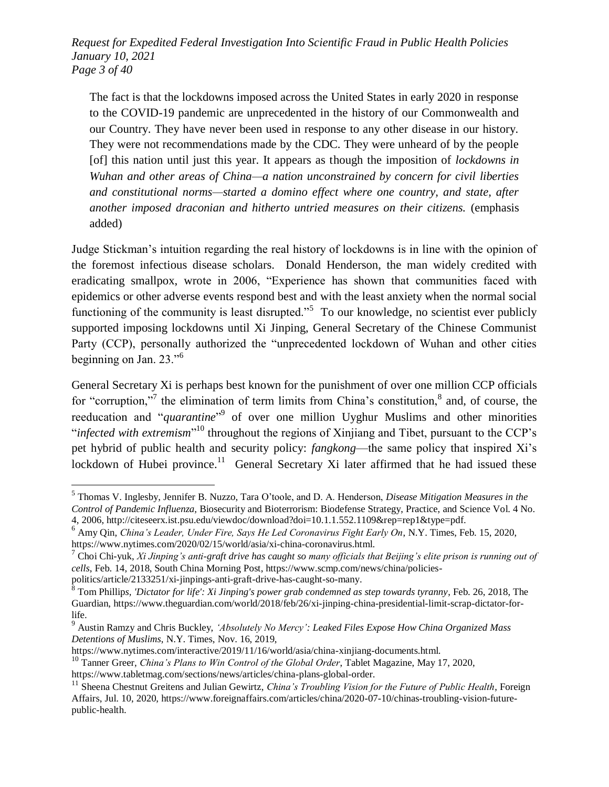*Request for Expedited Federal Investigation Into Scientific Fraud in Public Health Policies January 10, 2021 Page 3 of 40*

The fact is that the lockdowns imposed across the United States in early 2020 in response to the COVID-19 pandemic are unprecedented in the history of our Commonwealth and our Country. They have never been used in response to any other disease in our history. They were not recommendations made by the CDC. They were unheard of by the people [of] this nation until just this year. It appears as though the imposition of *lockdowns in Wuhan and other areas of China—a nation unconstrained by concern for civil liberties and constitutional norms—started a domino effect where one country, and state, after another imposed draconian and hitherto untried measures on their citizens.* (emphasis added)

Judge Stickman's intuition regarding the real history of lockdowns is in line with the opinion of the foremost infectious disease scholars. Donald Henderson, the man widely credited with eradicating smallpox, wrote in 2006, "Experience has shown that communities faced with epidemics or other adverse events respond best and with the least anxiety when the normal social functioning of the community is least disrupted.<sup> $,5}$ </sup> To our knowledge, no scientist ever publicly supported imposing lockdowns until Xi Jinping, General Secretary of the Chinese Communist Party (CCP), personally authorized the "unprecedented lockdown of Wuhan and other cities beginning on Jan.  $23.^{6}$ 

General Secretary Xi is perhaps best known for the punishment of over one million CCP officials for "corruption,"<sup>7</sup> the elimination of term limits from China's constitution,  $\delta$  and, of course, the reeducation and "*quarantine*"<sup>9</sup> of over one million Uyghur Muslims and other minorities "*infected with extremism*"<sup>10</sup> throughout the regions of Xinjiang and Tibet, pursuant to the CCP's pet hybrid of public health and security policy: *fangkong*—the same policy that inspired Xi's lockdown of Hubei province.<sup>11</sup> General Secretary Xi later affirmed that he had issued these

politics/article/2133251/xi-jinpings-anti-graft-drive-has-caught-so-many.

 5 Thomas V. Inglesby, Jennifer B. Nuzzo, Tara O'toole, and D. A. Henderson, *Disease Mitigation Measures in the Control of Pandemic Influenza,* Biosecurity and Bioterrorism: Biodefense Strategy, Practice, and Science Vol. 4 No. 4, 2006, http://citeseerx.ist.psu.edu/viewdoc/download?doi=10.1.1.552.1109&rep=rep1&type=pdf.

<sup>6</sup> Amy Qin, *China's Leader, Under Fire, Says He Led Coronavirus Fight Early On*, N.Y. Times, Feb. 15, 2020, https://www.nytimes.com/2020/02/15/world/asia/xi-china-coronavirus.html.

<sup>7</sup> Choi Chi-yuk, *Xi Jinping's anti-graft drive has caught so many officials that Beijing's elite prison is running out of cells*, Feb. 14, 2018, South China Morning Post, https://www.scmp.com/news/china/policies-

<sup>8</sup> Tom Phillip*s, 'Dictator for life': Xi Jinping's power grab condemned as step towards tyranny*, Feb. 26, 2018, The Guardian, https://www.theguardian.com/world/2018/feb/26/xi-jinping-china-presidential-limit-scrap-dictator-forlife.

<sup>9</sup> Austin Ramzy and Chris Buckley, *‗Absolutely No Mercy': Leaked Files Expose How China Organized Mass Detentions of Muslims*, N.Y. Times, Nov. 16, 2019,

https://www.nytimes.com/interactive/2019/11/16/world/asia/china-xinjiang-documents.html.

<sup>10</sup> Tanner Greer, *China's Plans to Win Control of the Global Order*, Tablet Magazine, May 17, 2020, https://www.tabletmag.com/sections/news/articles/china-plans-global-order.

<sup>&</sup>lt;sup>11</sup> Sheena Chestnut Greitens and Julian Gewirtz, *China's Troubling Vision for the Future of Public Health*, Foreign Affairs, Jul. 10, 2020, https://www.foreignaffairs.com/articles/china/2020-07-10/chinas-troubling-vision-futurepublic-health.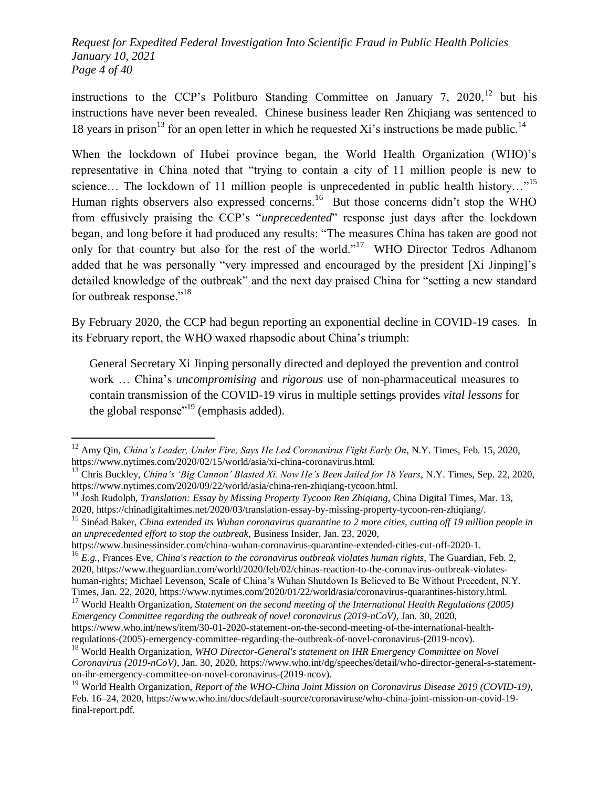*Request for Expedited Federal Investigation Into Scientific Fraud in Public Health Policies January 10, 2021 Page 4 of 40*

instructions to the CCP's Politburo Standing Committee on January 7, 2020,<sup>12</sup> but his instructions have never been revealed. Chinese business leader Ren Zhiqiang was sentenced to 18 years in prison<sup>13</sup> for an open letter in which he requested Xi's instructions be made public.<sup>14</sup>

When the lockdown of Hubei province began, the World Health Organization (WHO)'s representative in China noted that "trying to contain a city of 11 million people is new to science... The lockdown of 11 million people is unprecedented in public health history..."<sup>15</sup> Human rights observers also expressed concerns.<sup>16</sup> But those concerns didn't stop the WHO from effusively praising the CCP's "*unprecedented*" response just days after the lockdown began, and long before it had produced any results: "The measures China has taken are good not only for that country but also for the rest of the world."<sup>17</sup> WHO Director Tedros Adhanom added that he was personally "very impressed and encouraged by the president [Xi Jinping]'s detailed knowledge of the outbreak" and the next day praised China for "setting a new standard for outbreak response." $18$ 

By February 2020, the CCP had begun reporting an exponential decline in COVID-19 cases. In its February report, the WHO waxed rhapsodic about China's triumph:

General Secretary Xi Jinping personally directed and deployed the prevention and control work … China's *uncompromising* and *rigorous* use of non-pharmaceutical measures to contain transmission of the COVID-19 virus in multiple settings provides *vital lessons* for the global response"<sup>19</sup> (emphasis added).

<sup>12</sup> Amy Qin, *China's Leader, Under Fire, Says He Led Coronavirus Fight Early On*, N.Y. Times, Feb. 15, 2020, https://www.nytimes.com/2020/02/15/world/asia/xi-china-coronavirus.html.

<sup>13</sup> Chris Buckley, *China's ‗Big Cannon' Blasted Xi. Now He's Been Jailed for 18 Years*, N.Y. Times, Sep. 22, 2020, https://www.nytimes.com/2020/09/22/world/asia/china-ren-zhiqiang-tycoon.html.

<sup>14</sup> Josh Rudolph, *Translation: Essay by Missing Property Tycoon Ren Zhiqiang*, China Digital Times, Mar. 13, 2020, https://chinadigitaltimes.net/2020/03/translation-essay-by-missing-property-tycoon-ren-zhiqiang/.

<sup>15</sup> Sinéad Baker, *China extended its Wuhan coronavirus quarantine to 2 more cities, cutting off 19 million people in an unprecedented effort to stop the outbreak*, Business Insider, Jan. 23, 2020,

https://www.businessinsider.com/china-wuhan-coronavirus-quarantine-extended-cities-cut-off-2020-1.

<sup>16</sup> *E.g.*, Frances Eve, *China's reaction to the coronavirus outbreak violates human rights*, The Guardian, Feb. 2, 2020, https://www.theguardian.com/world/2020/feb/02/chinas-reaction-to-the-coronavirus-outbreak-violateshuman-rights; Michael Levenson, Scale of China's Wuhan Shutdown Is Believed to Be Without Precedent, N.Y. Times, Jan. 22, 2020, https://www.nytimes.com/2020/01/22/world/asia/coronavirus-quarantines-history.html.

<sup>17</sup> World Health Organization, *Statement on the second meeting of the International Health Regulations (2005) Emergency Committee regarding the outbreak of novel coronavirus (2019-nCoV)*, Jan. 30, 2020, https://www.who.int/news/item/30-01-2020-statement-on-the-second-meeting-of-the-international-health-

regulations-(2005)-emergency-committee-regarding-the-outbreak-of-novel-coronavirus-(2019-ncov).

<sup>18</sup> World Health Organization, *WHO Director-General's statement on IHR Emergency Committee on Novel Coronavirus (2019-nCoV)*, Jan. 30, 2020, https://www.who.int/dg/speeches/detail/who-director-general-s-statementon-ihr-emergency-committee-on-novel-coronavirus-(2019-ncov).

<sup>19</sup> World Health Organization, *Report of the WHO-China Joint Mission on Coronavirus Disease 2019 (COVID-19)*, Feb. 16–24, 2020, https://www.who.int/docs/default-source/coronaviruse/who-china-joint-mission-on-covid-19 final-report.pdf.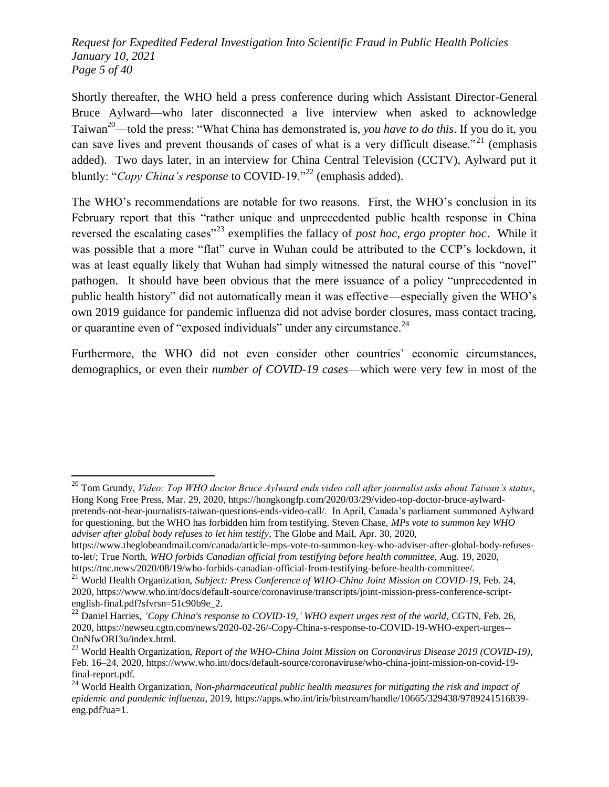*Request for Expedited Federal Investigation Into Scientific Fraud in Public Health Policies January 10, 2021 Page 5 of 40*

Shortly thereafter, the WHO held a press conference during which Assistant Director-General Bruce Aylward—who later disconnected a live interview when asked to acknowledge Taiwan<sup>20</sup>—told the press: "What China has demonstrated is, *you have to do this*. If you do it, you can save lives and prevent thousands of cases of what is a very difficult disease.<sup> $21$ </sup> (emphasis) added). Two days later, in an interview for China Central Television (CCTV), Aylward put it bluntly: "*Copy China's response* to COVID-19."<sup>22</sup> (emphasis added).

The WHO's recommendations are notable for two reasons. First, the WHO's conclusion in its February report that this "rather unique and unprecedented public health response in China reversed the escalating cases<sup>"23</sup> exemplifies the fallacy of *post hoc, ergo propter hoc*. While it was possible that a more "flat" curve in Wuhan could be attributed to the CCP's lockdown, it was at least equally likely that Wuhan had simply witnessed the natural course of this "novel" pathogen. It should have been obvious that the mere issuance of a policy "unprecedented in public health history" did not automatically mean it was effective—especially given the WHO's own 2019 guidance for pandemic influenza did not advise border closures, mass contact tracing, or quarantine even of "exposed individuals" under any circumstance. $^{24}$ 

Furthermore, the WHO did not even consider other countries' economic circumstances, demographics, or even their *number of COVID-19 cases*—which were very few in most of the

<sup>20</sup> Tom Grundy, *Video: Top WHO doctor Bruce Aylward ends video call after journalist asks about Taiwan's status*, Hong Kong Free Press, Mar. 29, 2020, https://hongkongfp.com/2020/03/29/video-top-doctor-bruce-aylwardpretends-not-hear-journalists-taiwan-questions-ends-video-call/. In April, Canada's parliament summoned Aylward for questioning, but the WHO has forbidden him from testifying. Steven Chase, *MPs vote to summon key WHO adviser after global body refuses to let him testify*, The Globe and Mail, Apr. 30, 2020,

https://www.theglobeandmail.com/canada/article-mps-vote-to-summon-key-who-adviser-after-global-body-refusesto-let/; True North, *WHO forbids Canadian official from testifying before health committee*, Aug. 19, 2020, https://tnc.news/2020/08/19/who-forbids-canadian-official-from-testifying-before-health-committee/.

<sup>21</sup> World Health Organization, *Subject: Press Conference of WHO-China Joint Mission on COVID-19*, Feb. 24, 2020, https://www.who.int/docs/default-source/coronaviruse/transcripts/joint-mission-press-conference-scriptenglish-final.pdf?sfvrsn=51c90b9e\_2.

<sup>22</sup> Daniel Harries, *‗Copy China's response to COVID-19,' WHO expert urges rest of the world*, CGTN, Feb. 26, 2020, https://newseu.cgtn.com/news/2020-02-26/-Copy-China-s-response-to-COVID-19-WHO-expert-urges-- OnNfwORI3u/index.html.

<sup>23</sup> World Health Organization, *Report of the WHO-China Joint Mission on Coronavirus Disease 2019 (COVID-19)*, Feb. 16–24, 2020, https://www.who.int/docs/default-source/coronaviruse/who-china-joint-mission-on-covid-19 final-report.pdf.

<sup>&</sup>lt;sup>24</sup> World Health Organization, *Non-pharmaceutical public health measures for mitigating the risk and impact of epidemic and pandemic influenza*, 2019, https://apps.who.int/iris/bitstream/handle/10665/329438/9789241516839 eng.pdf?ua=1.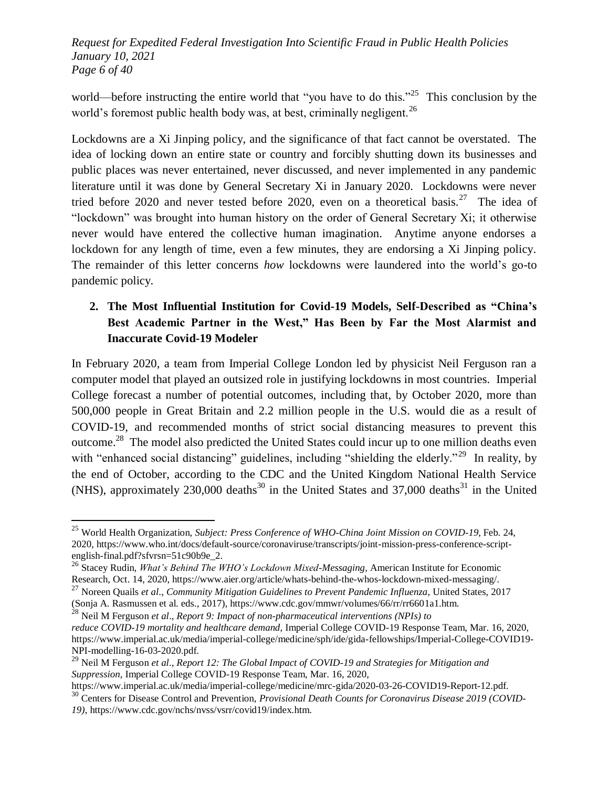*Request for Expedited Federal Investigation Into Scientific Fraud in Public Health Policies January 10, 2021 Page 6 of 40*

world—before instructing the entire world that "you have to do this."<sup>25</sup> This conclusion by the world's foremost public health body was, at best, criminally negligent.<sup>26</sup>

Lockdowns are a Xi Jinping policy, and the significance of that fact cannot be overstated. The idea of locking down an entire state or country and forcibly shutting down its businesses and public places was never entertained, never discussed, and never implemented in any pandemic literature until it was done by General Secretary Xi in January 2020. Lockdowns were never tried before 2020 and never tested before 2020, even on a theoretical basis.<sup>27</sup> The idea of "lockdown" was brought into human history on the order of General Secretary Xi; it otherwise never would have entered the collective human imagination. Anytime anyone endorses a lockdown for any length of time, even a few minutes, they are endorsing a Xi Jinping policy. The remainder of this letter concerns *how* lockdowns were laundered into the world's go-to pandemic policy.

## **2. The Most Influential Institution for Covid-19 Models, Self-Described as "China's Best Academic Partner in the West," Has Been by Far the Most Alarmist and Inaccurate Covid-19 Modeler**

In February 2020, a team from Imperial College London led by physicist Neil Ferguson ran a computer model that played an outsized role in justifying lockdowns in most countries. Imperial College forecast a number of potential outcomes, including that, by October 2020, more than 500,000 people in Great Britain and 2.2 million people in the U.S. would die as a result of COVID-19, and recommended months of strict social distancing measures to prevent this outcome.<sup>28</sup> The model also predicted the United States could incur up to one million deaths even with "enhanced social distancing" guidelines, including "shielding the elderly."<sup>29</sup> In reality, by the end of October, according to the CDC and the United Kingdom National Health Service (NHS), approximately  $230,000$  deaths<sup>30</sup> in the United States and  $37,000$  deaths<sup>31</sup> in the United

<sup>25</sup> World Health Organization, *Subject: Press Conference of WHO-China Joint Mission on COVID-19*, Feb. 24, 2020, https://www.who.int/docs/default-source/coronaviruse/transcripts/joint-mission-press-conference-scriptenglish-final.pdf?sfvrsn=51c90b9e\_2.

<sup>26</sup> Stacey Rudin, *What's Behind The WHO's Lockdown Mixed-Messaging*, American Institute for Economic Research, Oct. 14, 2020, https://www.aier.org/article/whats-behind-the-whos-lockdown-mixed-messaging/.

<sup>27</sup> Noreen Quails *et al*., *Community Mitigation Guidelines to Prevent Pandemic Influenza*, United States, 2017 (Sonja A. Rasmussen et al. eds., 2017), https://www.cdc.gov/mmwr/volumes/66/rr/rr6601a1.htm.

<sup>28</sup> Neil M Ferguson *et al*., *Report 9: Impact of non-pharmaceutical interventions (NPIs) to reduce COVID-19 mortality and healthcare demand*, Imperial College COVID-19 Response Team, Mar. 16, 2020, https://www.imperial.ac.uk/media/imperial-college/medicine/sph/ide/gida-fellowships/Imperial-College-COVID19- NPI-modelling-16-03-2020.pdf.

<sup>29</sup> Neil M Ferguson *et al*., *Report 12: The Global Impact of COVID-19 and Strategies for Mitigation and Suppression*, Imperial College COVID-19 Response Team, Mar. 16, 2020,

https://www.imperial.ac.uk/media/imperial-college/medicine/mrc-gida/2020-03-26-COVID19-Report-12.pdf. <sup>30</sup> Centers for Disease Control and Prevention, *Provisional Death Counts for Coronavirus Disease 2019 (COVID-*

*<sup>19)</sup>*, https://www.cdc.gov/nchs/nvss/vsrr/covid19/index.htm.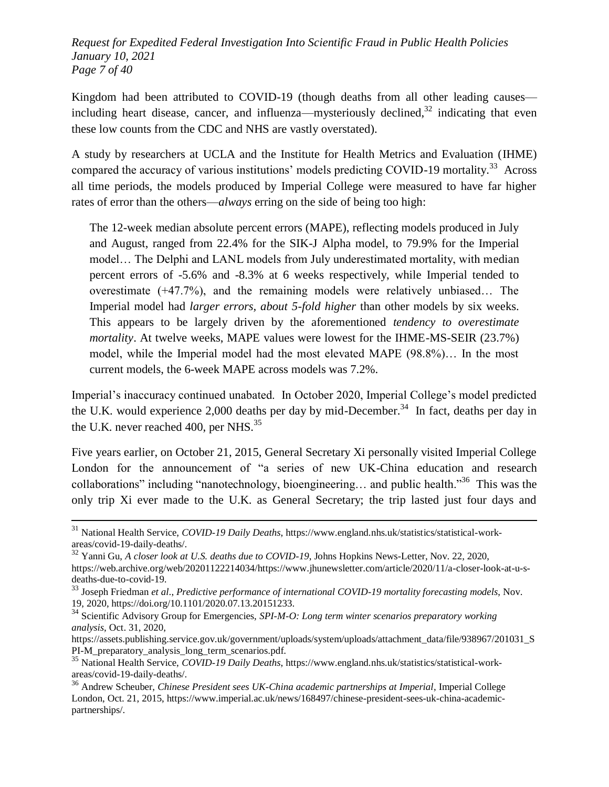*Request for Expedited Federal Investigation Into Scientific Fraud in Public Health Policies January 10, 2021 Page 7 of 40*

Kingdom had been attributed to COVID-19 (though deaths from all other leading causes including heart disease, cancer, and influenza—mysteriously declined,  $32$  indicating that even these low counts from the CDC and NHS are vastly overstated).

A study by researchers at UCLA and the Institute for Health Metrics and Evaluation (IHME) compared the accuracy of various institutions' models predicting COVID-19 mortality.<sup>33</sup> Across all time periods, the models produced by Imperial College were measured to have far higher rates of error than the others—*always* erring on the side of being too high:

The 12-week median absolute percent errors (MAPE), reflecting models produced in July and August, ranged from 22.4% for the SIK-J Alpha model, to 79.9% for the Imperial model… The Delphi and LANL models from July underestimated mortality, with median percent errors of -5.6% and -8.3% at 6 weeks respectively, while Imperial tended to overestimate (+47.7%), and the remaining models were relatively unbiased… The Imperial model had *larger errors, about 5-fold higher* than other models by six weeks. This appears to be largely driven by the aforementioned *tendency to overestimate mortality*. At twelve weeks, MAPE values were lowest for the IHME-MS-SEIR (23.7%) model, while the Imperial model had the most elevated MAPE (98.8%)… In the most current models, the 6-week MAPE across models was 7.2%.

Imperial's inaccuracy continued unabated. In October 2020, Imperial College's model predicted the U.K. would experience 2,000 deaths per day by mid-December.<sup>34</sup> In fact, deaths per day in the U.K. never reached 400, per NHS. $^{35}$ 

Five years earlier, on October 21, 2015, General Secretary Xi personally visited Imperial College London for the announcement of "a series of new UK-China education and research collaborations" including "nanotechnology, bioengineering... and public health."<sup>36</sup> This was the only trip Xi ever made to the U.K. as General Secretary; the trip lasted just four days and

<sup>31</sup> National Health Service, *COVID-19 Daily Deaths*, https://www.england.nhs.uk/statistics/statistical-workareas/covid-19-daily-deaths/.

<sup>32</sup> Yanni Gu, *A closer look at U.S. deaths due to COVID-19*, Johns Hopkins News-Letter, Nov. 22, 2020, https://web.archive.org/web/20201122214034/https://www.jhunewsletter.com/article/2020/11/a-closer-look-at-u-sdeaths-due-to-covid-19.

<sup>33</sup> Joseph Friedman *et al*., *Predictive performance of international COVID-19 mortality forecasting models*, Nov. 19, 2020, https://doi.org/10.1101/2020.07.13.20151233.

<sup>34</sup> Scientific Advisory Group for Emergencies, *SPI-M-O: Long term winter scenarios preparatory working analysis*, Oct. 31, 2020,

https://assets.publishing.service.gov.uk/government/uploads/system/uploads/attachment\_data/file/938967/201031\_S PI-M\_preparatory\_analysis\_long\_term\_scenarios.pdf.

<sup>35</sup> National Health Service, *COVID-19 Daily Deaths*, https://www.england.nhs.uk/statistics/statistical-workareas/covid-19-daily-deaths/.

<sup>36</sup> Andrew Scheuber, *Chinese President sees UK-China academic partnerships at Imperial*, Imperial College London, Oct. 21, 2015, https://www.imperial.ac.uk/news/168497/chinese-president-sees-uk-china-academicpartnerships/.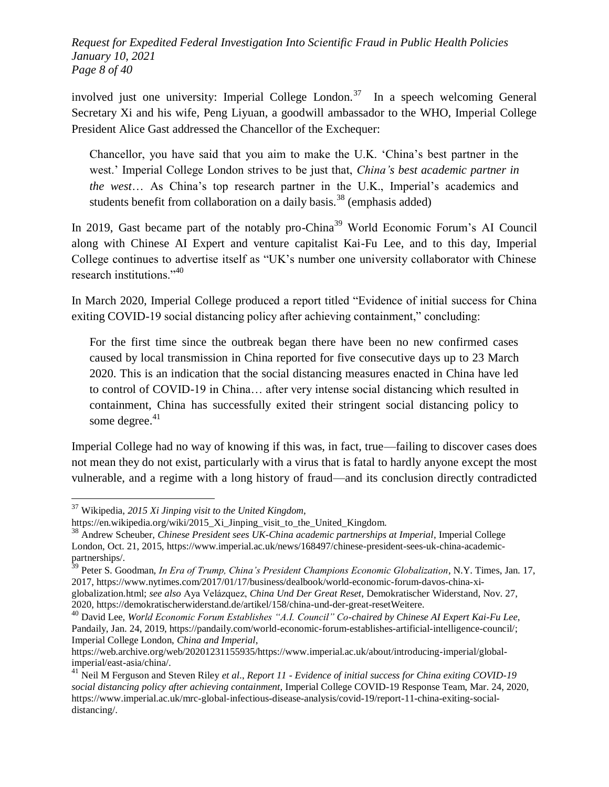*Request for Expedited Federal Investigation Into Scientific Fraud in Public Health Policies January 10, 2021 Page 8 of 40*

involved just one university: Imperial College London.<sup>37</sup> In a speech welcoming General Secretary Xi and his wife, Peng Liyuan, a goodwill ambassador to the WHO, Imperial College President Alice Gast addressed the Chancellor of the Exchequer:

Chancellor, you have said that you aim to make the U.K. ‗China's best partner in the west.' Imperial College London strives to be just that, *China's best academic partner in the west*… As China's top research partner in the U.K., Imperial's academics and students benefit from collaboration on a daily basis.<sup>38</sup> (emphasis added)

In 2019, Gast became part of the notably pro-China<sup>39</sup> World Economic Forum's AI Council along with Chinese AI Expert and venture capitalist Kai-Fu Lee, and to this day, Imperial College continues to advertise itself as "UK's number one university collaborator with Chinese research institutions." $40$ 

In March 2020, Imperial College produced a report titled "Evidence of initial success for China exiting COVID-19 social distancing policy after achieving containment," concluding:

For the first time since the outbreak began there have been no new confirmed cases caused by local transmission in China reported for five consecutive days up to 23 March 2020. This is an indication that the social distancing measures enacted in China have led to control of COVID-19 in China… after very intense social distancing which resulted in containment, China has successfully exited their stringent social distancing policy to some degree. $41$ 

Imperial College had no way of knowing if this was, in fact, true—failing to discover cases does not mean they do not exist, particularly with a virus that is fatal to hardly anyone except the most vulnerable, and a regime with a long history of fraud—and its conclusion directly contradicted

l

2020, https://demokratischerwiderstand.de/artikel/158/china-und-der-great-resetWeitere.

<sup>37</sup> Wikipedia, *2015 Xi Jinping visit to the United Kingdom*,

https://en.wikipedia.org/wiki/2015\_Xi\_Jinping\_visit\_to\_the\_United\_Kingdom.

<sup>38</sup> Andrew Scheuber, *Chinese President sees UK-China academic partnerships at Imperial*, Imperial College London, Oct. 21, 2015, https://www.imperial.ac.uk/news/168497/chinese-president-sees-uk-china-academicpartnerships/.

<sup>39</sup> Peter S. Goodman, *In Era of Trump, China's President Champions Economic Globalization*, N.Y. Times, Jan. 17, 2017, https://www.nytimes.com/2017/01/17/business/dealbook/world-economic-forum-davos-china-xiglobalization.html; *see also* Aya Velázquez, *China Und Der Great Reset*, Demokratischer Widerstand, Nov. 27,

<sup>&</sup>lt;sup>40</sup> David Lee, *World Economic Forum Establishes "A.I. Council" Co-chaired by Chinese AI Expert Kai-Fu Lee*, Pandaily, Jan. 24, 2019, https://pandaily.com/world-economic-forum-establishes-artificial-intelligence-council/; Imperial College London, *China and Imperial*,

https://web.archive.org/web/20201231155935/https://www.imperial.ac.uk/about/introducing-imperial/globalimperial/east-asia/china/.

<sup>41</sup> Neil M Ferguson and Steven Riley *et al*., *Report 11 - Evidence of initial success for China exiting COVID-19 social distancing policy after achieving containment*, Imperial College COVID-19 Response Team, Mar. 24, 2020, https://www.imperial.ac.uk/mrc-global-infectious-disease-analysis/covid-19/report-11-china-exiting-socialdistancing/.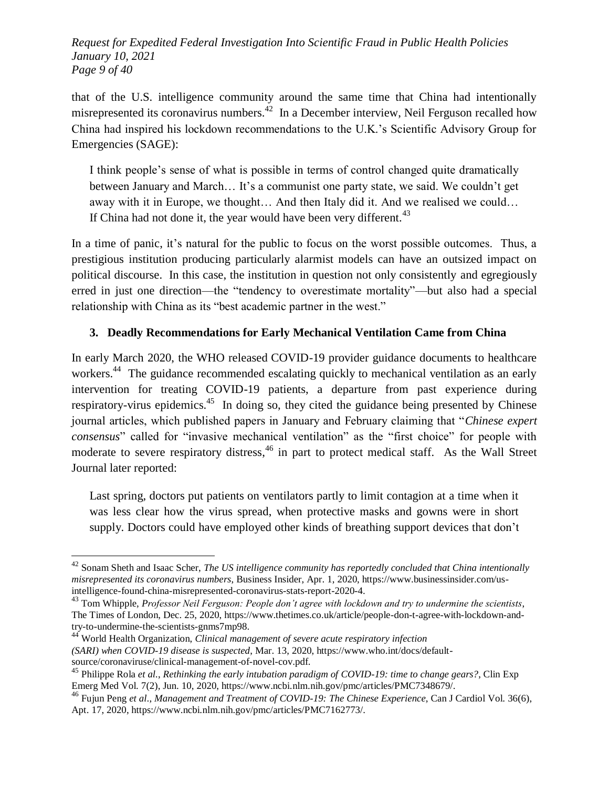*Request for Expedited Federal Investigation Into Scientific Fraud in Public Health Policies January 10, 2021 Page 9 of 40*

that of the U.S. intelligence community around the same time that China had intentionally misrepresented its coronavirus numbers.<sup>42</sup> In a December interview, Neil Ferguson recalled how China had inspired his lockdown recommendations to the U.K.'s Scientific Advisory Group for Emergencies (SAGE):

I think people's sense of what is possible in terms of control changed quite dramatically between January and March… It's a communist one party state, we said. We couldn't get away with it in Europe, we thought… And then Italy did it. And we realised we could… If China had not done it, the year would have been very different.  $43$ 

In a time of panic, it's natural for the public to focus on the worst possible outcomes. Thus, a prestigious institution producing particularly alarmist models can have an outsized impact on political discourse. In this case, the institution in question not only consistently and egregiously erred in just one direction—the "tendency to overestimate mortality"—but also had a special relationship with China as its "best academic partner in the west."

#### **3. Deadly Recommendations for Early Mechanical Ventilation Came from China**

In early March 2020, the WHO released COVID-19 provider guidance documents to healthcare workers.<sup>44</sup> The guidance recommended escalating quickly to mechanical ventilation as an early intervention for treating COVID-19 patients, a departure from past experience during respiratory-virus epidemics.<sup>45</sup> In doing so, they cited the guidance being presented by Chinese journal articles, which published papers in January and February claiming that "Chinese expert *consensus*" called for "invasive mechanical ventilation" as the "first choice" for people with moderate to severe respiratory distress,<sup>46</sup> in part to protect medical staff. As the Wall Street Journal later reported:

Last spring, doctors put patients on ventilators partly to limit contagion at a time when it was less clear how the virus spread, when protective masks and gowns were in short supply. Doctors could have employed other kinds of breathing support devices that don't

<sup>42</sup> Sonam Sheth and Isaac Scher, *The US intelligence community has reportedly concluded that China intentionally misrepresented its coronavirus numbers*, Business Insider, Apr. 1, 2020, https://www.businessinsider.com/usintelligence-found-china-misrepresented-coronavirus-stats-report-2020-4.

<sup>43</sup> Tom Whipple, *Professor Neil Ferguson: People don't agree with lockdown and try to undermine the scientists*, The Times of London, Dec. 25, 2020, https://www.thetimes.co.uk/article/people-don-t-agree-with-lockdown-andtry-to-undermine-the-scientists-gnms7mp98.

<sup>44</sup> World Health Organization, *Clinical management of severe acute respiratory infection (SARI) when COVID-19 disease is suspected*, Mar. 13, 2020, https://www.who.int/docs/defaultsource/coronaviruse/clinical-management-of-novel-cov.pdf.

<sup>45</sup> Philippe Rola *et al.*, *Rethinking the early intubation paradigm of COVID-19: time to change gears?*, Clin Exp Emerg Med Vol. 7(2), Jun. 10, 2020, https://www.ncbi.nlm.nih.gov/pmc/articles/PMC7348679/.

<sup>46</sup> Fujun Peng *et al*., *Management and Treatment of COVID-19: The Chinese Experience*, Can J Cardiol Vol. 36(6), Apt. 17, 2020, https://www.ncbi.nlm.nih.gov/pmc/articles/PMC7162773/.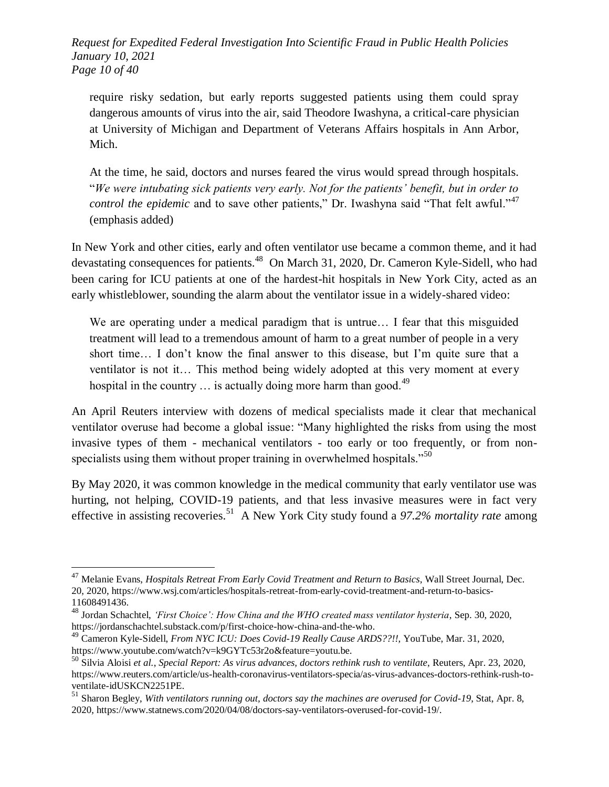*Request for Expedited Federal Investigation Into Scientific Fraud in Public Health Policies January 10, 2021 Page 10 of 40*

require risky sedation, but early reports suggested patients using them could spray dangerous amounts of virus into the air, said Theodore Iwashyna, a critical-care physician at University of Michigan and Department of Veterans Affairs hospitals in Ann Arbor, Mich.

At the time, he said, doctors and nurses feared the virus would spread through hospitals. ―*We were intubating sick patients very early. Not for the patients' benefit, but in order to control the epidemic* and to save other patients," Dr. Iwashyna said "That felt awful."<sup>47</sup> (emphasis added)

In New York and other cities, early and often ventilator use became a common theme, and it had devastating consequences for patients.<sup>48</sup> On March 31, 2020, Dr. Cameron Kyle-Sidell, who had been caring for ICU patients at one of the hardest-hit hospitals in New York City, acted as an early whistleblower, sounding the alarm about the ventilator issue in a widely-shared video:

We are operating under a medical paradigm that is untrue… I fear that this misguided treatment will lead to a tremendous amount of harm to a great number of people in a very short time… I don't know the final answer to this disease, but I'm quite sure that a ventilator is not it… This method being widely adopted at this very moment at every hospital in the country  $\ldots$  is actually doing more harm than good.<sup>49</sup>

An April Reuters interview with dozens of medical specialists made it clear that mechanical ventilator overuse had become a global issue: "Many highlighted the risks from using the most invasive types of them - mechanical ventilators - too early or too frequently, or from nonspecialists using them without proper training in overwhelmed hospitals.<sup>50</sup>

By May 2020, it was common knowledge in the medical community that early ventilator use was hurting, not helping, COVID-19 patients, and that less invasive measures were in fact very effective in assisting recoveries.<sup>51</sup> A New York City study found a 97.2% mortality rate among

<sup>47</sup> Melanie Evans, *Hospitals Retreat From Early Covid Treatment and Return to Basics*, Wall Street Journal, Dec. 20, 2020, https://www.wsj.com/articles/hospitals-retreat-from-early-covid-treatment-and-return-to-basics-11608491436.

<sup>48</sup> Jordan Schachtel, *‗First Choice': How China and the WHO created mass ventilator hysteria*, Sep. 30, 2020, https://jordanschachtel.substack.com/p/first-choice-how-china-and-the-who.

<sup>49</sup> Cameron Kyle-Sidell, *From NYC ICU: Does Covid-19 Really Cause ARDS??!!*, YouTube, Mar. 31, 2020, https://www.youtube.com/watch?v=k9GYTc53r2o&feature=youtu.be.

<sup>50</sup> Silvia Aloisi *et al.*, *Special Report: As virus advances, doctors rethink rush to ventilate*, Reuters, Apr. 23, 2020, https://www.reuters.com/article/us-health-coronavirus-ventilators-specia/as-virus-advances-doctors-rethink-rush-toventilate-idUSKCN2251PE.

<sup>51</sup> Sharon Begley, *With ventilators running out, doctors say the machines are overused for Covid-19*, Stat, Apr. 8, 2020, https://www.statnews.com/2020/04/08/doctors-say-ventilators-overused-for-covid-19/.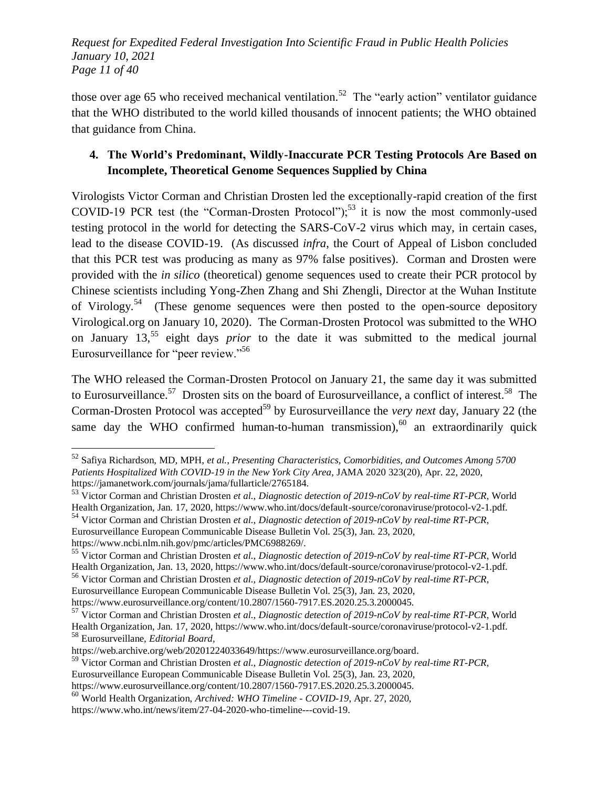*Request for Expedited Federal Investigation Into Scientific Fraud in Public Health Policies January 10, 2021 Page 11 of 40*

those over age 65 who received mechanical ventilation.<sup>52</sup> The "early action" ventilator guidance that the WHO distributed to the world killed thousands of innocent patients; the WHO obtained that guidance from China.

## **4. The World's Predominant, Wildly-Inaccurate PCR Testing Protocols Are Based on Incomplete, Theoretical Genome Sequences Supplied by China**

Virologists Victor Corman and Christian Drosten led the exceptionally-rapid creation of the first COVID-19 PCR test (the "Corman-Drosten Protocol");<sup>53</sup> it is now the most commonly-used testing protocol in the world for detecting the SARS-CoV-2 virus which may, in certain cases, lead to the disease COVID-19. (As discussed *infra*, the Court of Appeal of Lisbon concluded that this PCR test was producing as many as 97% false positives). Corman and Drosten were provided with the *in silico* (theoretical) genome sequences used to create their PCR protocol by Chinese scientists including Yong-Zhen Zhang and Shi Zhengli, Director at the Wuhan Institute of Virology.<sup>54</sup> (These genome sequences were then posted to the open-source depository Virological.org on January 10, 2020). The Corman-Drosten Protocol was submitted to the WHO on January 13,<sup>55</sup> eight days *prior* to the date it was submitted to the medical journal Eurosurveillance for "peer review."<sup>56</sup>

The WHO released the Corman-Drosten Protocol on January 21, the same day it was submitted to Eurosurveillance.<sup>57</sup> Drosten sits on the board of Eurosurveillance, a conflict of interest.<sup>58</sup> The Corman-Drosten Protocol was accepted<sup>59</sup> by Eurosurveillance the *very next* day, January 22 (the same day the WHO confirmed human-to-human transmission),  $60$  an extraordinarily quick

https://www.ncbi.nlm.nih.gov/pmc/articles/PMC6988269/.

l

https://www.eurosurveillance.org/content/10.2807/1560-7917.ES.2020.25.3.2000045.

<sup>52</sup> Safiya Richardson, MD, MPH, *et al.*, *Presenting Characteristics, Comorbidities, and Outcomes Among 5700 Patients Hospitalized With COVID-19 in the New York City Area*, JAMA 2020 323(20), Apr. 22, 2020, https://jamanetwork.com/journals/jama/fullarticle/2765184.

<sup>53</sup> Victor Corman and Christian Drosten *et al.*, *Diagnostic detection of 2019-nCoV by real-time RT-PCR*, World Health Organization, Jan. 17, 2020, https://www.who.int/docs/default-source/coronaviruse/protocol-v2-1.pdf.

<sup>54</sup> Victor Corman and Christian Drosten *et al.*, *Diagnostic detection of 2019-nCoV by real-time RT-PCR*, Eurosurveillance European Communicable Disease Bulletin Vol. 25(3), Jan. 23, 2020,

<sup>55</sup> Victor Corman and Christian Drosten *et al.*, *Diagnostic detection of 2019-nCoV by real-time RT-PCR*, World Health Organization, Jan. 13, 2020, https://www.who.int/docs/default-source/coronaviruse/protocol-v2-1.pdf.

<sup>56</sup> Victor Corman and Christian Drosten *et al.*, *Diagnostic detection of 2019-nCoV by real-time RT-PCR*, Eurosurveillance European Communicable Disease Bulletin Vol. 25(3), Jan. 23, 2020,

<sup>57</sup> Victor Corman and Christian Drosten *et al.*, *Diagnostic detection of 2019-nCoV by real-time RT-PCR*, World Health Organization, Jan. 17, 2020, https://www.who.int/docs/default-source/coronaviruse/protocol-v2-1.pdf. <sup>58</sup> Eurosurveillane, *Editorial Board*,

https://web.archive.org/web/20201224033649/https://www.eurosurveillance.org/board.

<sup>59</sup> Victor Corman and Christian Drosten *et al.*, *Diagnostic detection of 2019-nCoV by real-time RT-PCR*, Eurosurveillance European Communicable Disease Bulletin Vol. 25(3), Jan. 23, 2020,

https://www.eurosurveillance.org/content/10.2807/1560-7917.ES.2020.25.3.2000045.

<sup>60</sup> World Health Organization, *Archived: WHO Timeline - COVID-19*, Apr. 27, 2020, https://www.who.int/news/item/27-04-2020-who-timeline---covid-19.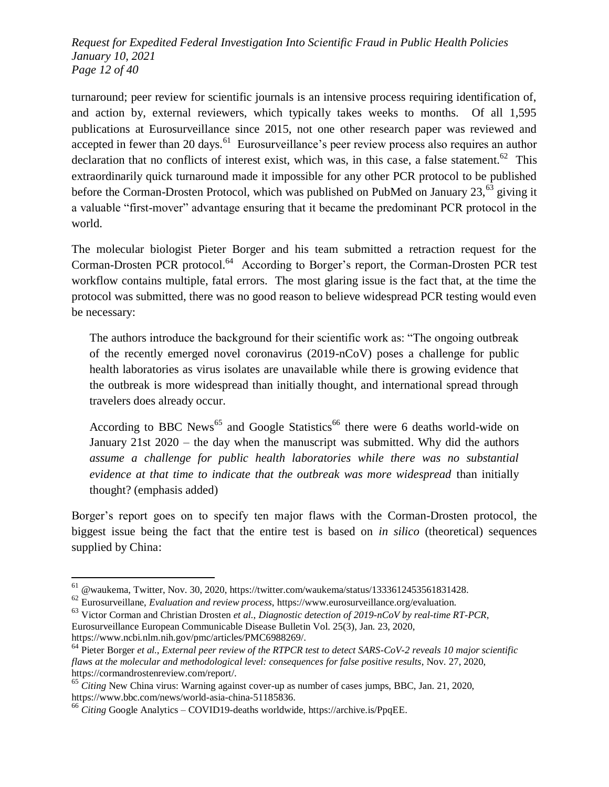*Request for Expedited Federal Investigation Into Scientific Fraud in Public Health Policies January 10, 2021 Page 12 of 40*

turnaround; peer review for scientific journals is an intensive process requiring identification of, and action by, external reviewers, which typically takes weeks to months. Of all 1,595 publications at Eurosurveillance since 2015, not one other research paper was reviewed and accepted in fewer than 20 days.<sup>61</sup> Eurosurveillance's peer review process also requires an author declaration that no conflicts of interest exist, which was, in this case, a false statement.<sup>62</sup> This extraordinarily quick turnaround made it impossible for any other PCR protocol to be published before the Corman-Drosten Protocol, which was published on PubMed on January  $23,^{63}$  giving it a valuable "first-mover" advantage ensuring that it became the predominant PCR protocol in the world.

The molecular biologist Pieter Borger and his team submitted a retraction request for the Corman-Drosten PCR protocol.<sup>64</sup> According to Borger's report, the Corman-Drosten PCR test workflow contains multiple, fatal errors. The most glaring issue is the fact that, at the time the protocol was submitted, there was no good reason to believe widespread PCR testing would even be necessary:

The authors introduce the background for their scientific work as: "The ongoing outbreak of the recently emerged novel coronavirus (2019-nCoV) poses a challenge for public health laboratories as virus isolates are unavailable while there is growing evidence that the outbreak is more widespread than initially thought, and international spread through travelers does already occur.

According to BBC News<sup>65</sup> and Google Statistics<sup>66</sup> there were 6 deaths world-wide on January 21st 2020 – the day when the manuscript was submitted. Why did the authors *assume a challenge for public health laboratories while there was no substantial evidence at that time to indicate that the outbreak was more widespread* than initially thought? (emphasis added)

Borger's report goes on to specify ten major flaws with the Corman-Drosten protocol, the biggest issue being the fact that the entire test is based on *in silico* (theoretical) sequences supplied by China:

<sup>61</sup> @waukema, Twitter, Nov. 30, 2020, https://twitter.com/waukema/status/1333612453561831428.

<sup>62</sup> Eurosurveillane, *Evaluation and review process*, https://www.eurosurveillance.org/evaluation.

<sup>63</sup> Victor Corman and Christian Drosten *et al.*, *Diagnostic detection of 2019-nCoV by real-time RT-PCR*, Eurosurveillance European Communicable Disease Bulletin Vol. 25(3), Jan. 23, 2020, https://www.ncbi.nlm.nih.gov/pmc/articles/PMC6988269/.

<sup>64</sup> Pieter Borger *et al.*, *External peer review of the RTPCR test to detect SARS-CoV-2 reveals 10 major scientific flaws at the molecular and methodological level: consequences for false positive results*, Nov. 27, 2020, https://cormandrostenreview.com/report/.

<sup>65</sup> *Citing* New China virus: Warning against cover-up as number of cases jumps, BBC, Jan. 21, 2020, https://www.bbc.com/news/world-asia-china-51185836.

<sup>66</sup> *Citing* Google Analytics – COVID19-deaths worldwide, https://archive.is/PpqEE.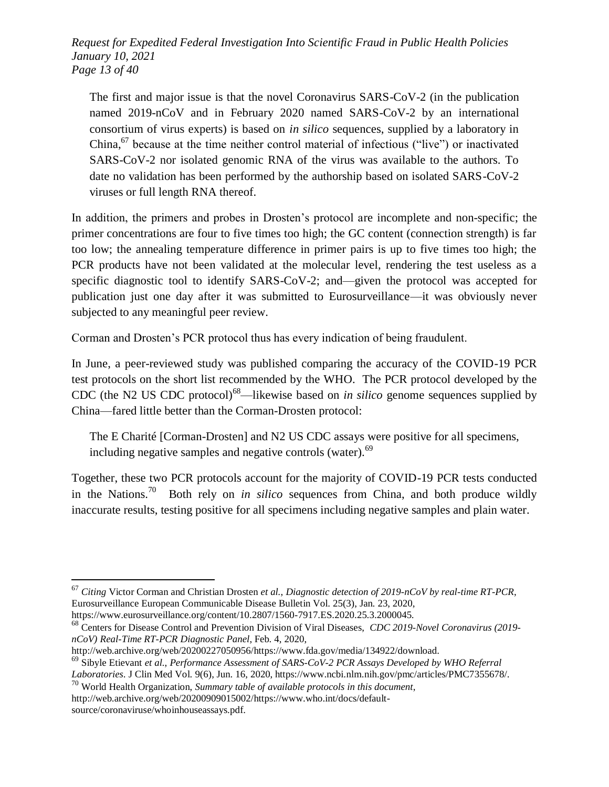*Request for Expedited Federal Investigation Into Scientific Fraud in Public Health Policies January 10, 2021 Page 13 of 40*

The first and major issue is that the novel Coronavirus SARS-CoV-2 (in the publication named 2019-nCoV and in February 2020 named SARS-CoV-2 by an international consortium of virus experts) is based on *in silico* sequences, supplied by a laboratory in China,<sup>67</sup> because at the time neither control material of infectious ("live") or inactivated SARS-CoV-2 nor isolated genomic RNA of the virus was available to the authors. To date no validation has been performed by the authorship based on isolated SARS-CoV-2 viruses or full length RNA thereof.

In addition, the primers and probes in Drosten's protocol are incomplete and non-specific; the primer concentrations are four to five times too high; the GC content (connection strength) is far too low; the annealing temperature difference in primer pairs is up to five times too high; the PCR products have not been validated at the molecular level, rendering the test useless as a specific diagnostic tool to identify SARS-CoV-2; and—given the protocol was accepted for publication just one day after it was submitted to Eurosurveillance—it was obviously never subjected to any meaningful peer review.

Corman and Drosten's PCR protocol thus has every indication of being fraudulent.

In June, a peer-reviewed study was published comparing the accuracy of the COVID-19 PCR test protocols on the short list recommended by the WHO. The PCR protocol developed by the CDC (the N2 US CDC protocol)<sup>68</sup>—likewise based on *in silico* genome sequences supplied by China—fared little better than the Corman-Drosten protocol:

The E Charité [Corman-Drosten] and N2 US CDC assays were positive for all specimens, including negative samples and negative controls (water).<sup>69</sup>

Together, these two PCR protocols account for the majority of COVID-19 PCR tests conducted in the Nations.<sup>70</sup> Both rely on *in silico* sequences from China, and both produce wildly inaccurate results, testing positive for all specimens including negative samples and plain water.

<sup>67</sup> *Citing* Victor Corman and Christian Drosten *et al.*, *Diagnostic detection of 2019-nCoV by real-time RT-PCR*, Eurosurveillance European Communicable Disease Bulletin Vol. 25(3), Jan. 23, 2020,

https://www.eurosurveillance.org/content/10.2807/1560-7917.ES.2020.25.3.2000045.

<sup>68</sup> Centers for Disease Control and Prevention Division of Viral Diseases, *CDC 2019-Novel Coronavirus (2019 nCoV) Real-Time RT-PCR Diagnostic Panel*, Feb. 4, 2020,

http://web.archive.org/web/20200227050956/https://www.fda.gov/media/134922/download.

<sup>69</sup> Sibyle Etievant *et al.*, *Performance Assessment of SARS-CoV-2 PCR Assays Developed by WHO Referral Laboratories*. J Clin Med Vol. 9(6), Jun. 16, 2020, https://www.ncbi.nlm.nih.gov/pmc/articles/PMC7355678/.

<sup>70</sup> World Health Organization, *Summary table of available protocols in this document*,

http://web.archive.org/web/20200909015002/https://www.who.int/docs/defaultsource/coronaviruse/whoinhouseassays.pdf.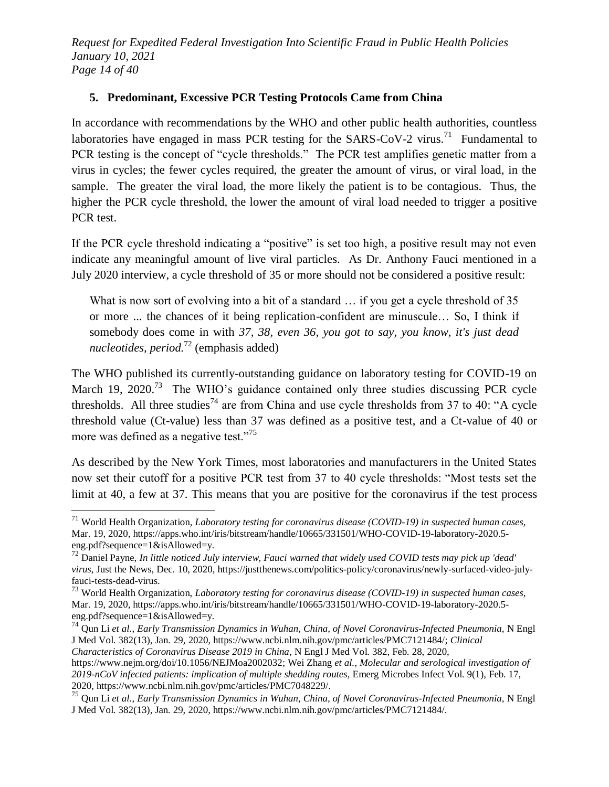*Request for Expedited Federal Investigation Into Scientific Fraud in Public Health Policies January 10, 2021 Page 14 of 40*

#### **5. Predominant, Excessive PCR Testing Protocols Came from China**

In accordance with recommendations by the WHO and other public health authorities, countless laboratories have engaged in mass PCR testing for the SARS-CoV-2 virus.<sup>71</sup> Fundamental to PCR testing is the concept of "cycle thresholds." The PCR test amplifies genetic matter from a virus in cycles; the fewer cycles required, the greater the amount of virus, or viral load, in the sample. The greater the viral load, the more likely the patient is to be contagious. Thus, the higher the PCR cycle threshold, the lower the amount of viral load needed to trigger a positive PCR test.

If the PCR cycle threshold indicating a "positive" is set too high, a positive result may not even indicate any meaningful amount of live viral particles. As Dr. Anthony Fauci mentioned in a July 2020 interview, a cycle threshold of 35 or more should not be considered a positive result:

What is now sort of evolving into a bit of a standard ... if you get a cycle threshold of 35 or more ... the chances of it being replication-confident are minuscule… So, I think if somebody does come in with *37, 38, even 36, you got to say, you know, it's just dead nucleotides, period.*<sup>72</sup> (emphasis added)

The WHO published its currently-outstanding guidance on laboratory testing for COVID-19 on March 19, 2020.<sup>73</sup> The WHO's guidance contained only three studies discussing PCR cycle thresholds. All three studies<sup>74</sup> are from China and use cycle thresholds from 37 to 40: "A cycle threshold value (Ct-value) less than 37 was defined as a positive test, and a Ct-value of 40 or more was defined as a negative test."<sup>75</sup>

As described by the New York Times, most laboratories and manufacturers in the United States now set their cutoff for a positive PCR test from 37 to 40 cycle thresholds: "Most tests set the limit at 40, a few at 37. This means that you are positive for the coronavirus if the test process

*Characteristics of Coronavirus Disease 2019 in China*, N Engl J Med Vol. 382, Feb. 28, 2020,

<sup>71</sup> World Health Organization, *Laboratory testing for coronavirus disease (COVID-19) in suspected human cases*, Mar. 19, 2020, https://apps.who.int/iris/bitstream/handle/10665/331501/WHO-COVID-19-laboratory-2020.5 eng.pdf?sequence=1&isAllowed=y.

<sup>72</sup> Daniel Payne, *In little noticed July interview, Fauci warned that widely used COVID tests may pick up 'dead' virus*, Just the News, Dec. 10, 2020, https://justthenews.com/politics-policy/coronavirus/newly-surfaced-video-julyfauci-tests-dead-virus.

<sup>73</sup> World Health Organization, *Laboratory testing for coronavirus disease (COVID-19) in suspected human cases*, Mar. 19, 2020, https://apps.who.int/iris/bitstream/handle/10665/331501/WHO-COVID-19-laboratory-2020.5 eng.pdf?sequence=1&isAllowed=y.

<sup>74</sup> Qun Li *et al.*, *Early Transmission Dynamics in Wuhan, China, of Novel Coronavirus-Infected Pneumonia*, N Engl J Med Vol. 382(13), Jan. 29, 2020, https://www.ncbi.nlm.nih.gov/pmc/articles/PMC7121484/; *Clinical* 

https://www.nejm.org/doi/10.1056/NEJMoa2002032; Wei Zhang *et al.*, *Molecular and serological investigation of 2019-nCoV infected patients: implication of multiple shedding routes*, Emerg Microbes Infect Vol. 9(1), Feb. 17, 2020, https://www.ncbi.nlm.nih.gov/pmc/articles/PMC7048229/.

<sup>75</sup> Qun Li *et al.*, *Early Transmission Dynamics in Wuhan, China, of Novel Coronavirus-Infected Pneumonia*, N Engl J Med Vol. 382(13), Jan. 29, 2020, https://www.ncbi.nlm.nih.gov/pmc/articles/PMC7121484/.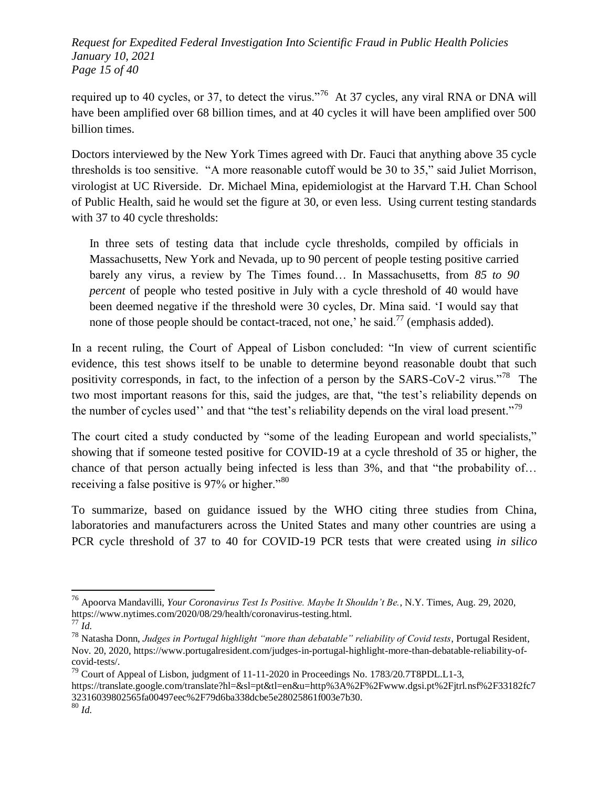*Request for Expedited Federal Investigation Into Scientific Fraud in Public Health Policies January 10, 2021 Page 15 of 40*

required up to 40 cycles, or 37, to detect the virus.<sup>76</sup> At 37 cycles, any viral RNA or DNA will have been amplified over 68 billion times, and at 40 cycles it will have been amplified over 500 billion times.

Doctors interviewed by the New York Times agreed with Dr. Fauci that anything above 35 cycle thresholds is too sensitive.  $A$  more reasonable cutoff would be 30 to 35," said Juliet Morrison, virologist at UC Riverside. Dr. Michael Mina, epidemiologist at the Harvard T.H. Chan School of Public Health, said he would set the figure at 30, or even less. Using current testing standards with 37 to 40 cycle thresholds:

In three sets of testing data that include cycle thresholds, compiled by officials in Massachusetts, New York and Nevada, up to 90 percent of people testing positive carried barely any virus, a review by The Times found… In Massachusetts, from *85 to 90 percent* of people who tested positive in July with a cycle threshold of 40 would have been deemed negative if the threshold were 30 cycles, Dr. Mina said. ‗I would say that none of those people should be contact-traced, not one,' he said.<sup>77</sup> (emphasis added).

In a recent ruling, the Court of Appeal of Lisbon concluded: "In view of current scientific evidence, this test shows itself to be unable to determine beyond reasonable doubt that such positivity corresponds, in fact, to the infection of a person by the SARS-CoV-2 virus.<sup>78</sup> The two most important reasons for this, said the judges, are that, "the test's reliability depends on the number of cycles used'' and that "the test's reliability depends on the viral load present."<sup>79</sup>

The court cited a study conducted by "some of the leading European and world specialists," showing that if someone tested positive for COVID-19 at a cycle threshold of 35 or higher, the chance of that person actually being infected is less than  $3\%$ , and that "the probability of... receiving a false positive is  $97\%$  or higher."<sup>80</sup>

To summarize, based on guidance issued by the WHO citing three studies from China, laboratories and manufacturers across the United States and many other countries are using a PCR cycle threshold of 37 to 40 for COVID-19 PCR tests that were created using *in silico*

<sup>76</sup> Apoorva Mandavilli, *Your Coronavirus Test Is Positive. Maybe It Shouldn't Be.*, N.Y. Times, Aug. 29, 2020, https://www.nytimes.com/2020/08/29/health/coronavirus-testing.html.

<sup>77</sup> *Id.*

<sup>&</sup>lt;sup>78</sup> Natasha Donn, *Judges in Portugal highlight "more than debatable" reliability of Covid tests*, Portugal Resident, Nov. 20, 2020, https://www.portugalresident.com/judges-in-portugal-highlight-more-than-debatable-reliability-ofcovid-tests/.

<sup>&</sup>lt;sup>79</sup> Court of Appeal of Lisbon, judgment of  $11-11-2020$  in Proceedings No. 1783/20.7T8PDL.L1-3.

https://translate.google.com/translate?hl=&sl=pt&tl=en&u=http%3A%2F%2Fwww.dgsi.pt%2Fjtrl.nsf%2F33182fc7 32316039802565fa00497eec%2F79d6ba338dcbe5e28025861f003e7b30.

<sup>80</sup> *Id.*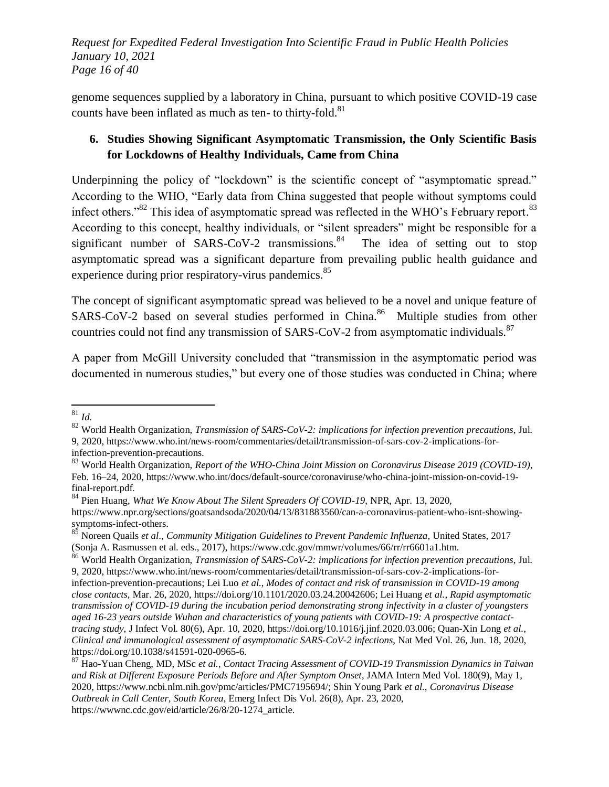*Request for Expedited Federal Investigation Into Scientific Fraud in Public Health Policies January 10, 2021 Page 16 of 40*

genome sequences supplied by a laboratory in China, pursuant to which positive COVID-19 case counts have been inflated as much as ten- to thirty-fold.<sup>81</sup>

## **6. Studies Showing Significant Asymptomatic Transmission, the Only Scientific Basis for Lockdowns of Healthy Individuals, Came from China**

Underpinning the policy of "lockdown" is the scientific concept of "asymptomatic spread." According to the WHO, "Early data from China suggested that people without symptoms could infect others."<sup>82</sup> This idea of asymptomatic spread was reflected in the WHO's February report.<sup>83</sup> According to this concept, healthy individuals, or "silent spreaders" might be responsible for a significant number of SARS-CoV-2 transmissions.<sup>84</sup> The idea of setting out to stop asymptomatic spread was a significant departure from prevailing public health guidance and experience during prior respiratory-virus pandemics.<sup>85</sup>

The concept of significant asymptomatic spread was believed to be a novel and unique feature of SARS-CoV-2 based on several studies performed in China.<sup>86</sup> Multiple studies from other countries could not find any transmission of SARS-CoV-2 from asymptomatic individuals.<sup>87</sup>

A paper from McGill University concluded that "transmission in the asymptomatic period was documented in numerous studies," but every one of those studies was conducted in China; where

 $\overline{a}$ <sup>81</sup> *Id.*

<sup>82</sup> World Health Organization, *Transmission of SARS-CoV-2: implications for infection prevention precautions*, Jul. 9, 2020, https://www.who.int/news-room/commentaries/detail/transmission-of-sars-cov-2-implications-forinfection-prevention-precautions.

<sup>83</sup> World Health Organization, *Report of the WHO-China Joint Mission on Coronavirus Disease 2019 (COVID-19)*, Feb. 16–24, 2020, https://www.who.int/docs/default-source/coronaviruse/who-china-joint-mission-on-covid-19 final-report.pdf.

<sup>84</sup> Pien Huang, *What We Know About The Silent Spreaders Of COVID-19*, NPR, Apr. 13, 2020, https://www.npr.org/sections/goatsandsoda/2020/04/13/831883560/can-a-coronavirus-patient-who-isnt-showingsymptoms-infect-others.

<sup>85</sup> Noreen Quails *et al*., *Community Mitigation Guidelines to Prevent Pandemic Influenza*, United States, 2017 (Sonja A. Rasmussen et al. eds., 2017), https://www.cdc.gov/mmwr/volumes/66/rr/rr6601a1.htm.

<sup>86</sup> World Health Organization, *Transmission of SARS-CoV-2: implications for infection prevention precautions*, Jul. 9, 2020, https://www.who.int/news-room/commentaries/detail/transmission-of-sars-cov-2-implications-forinfection-prevention-precautions; Lei Luo *et al.*, *Modes of contact and risk of transmission in COVID-19 among close contacts*, Mar. 26, 2020, https://doi.org/10.1101/2020.03.24.20042606; Lei Huang *et al.*, *Rapid asymptomatic transmission of COVID-19 during the incubation period demonstrating strong infectivity in a cluster of youngsters aged 16-23 years outside Wuhan and characteristics of young patients with COVID-19: A prospective contacttracing study*, J Infect Vol. 80(6), Apr. 10, 2020, https://doi.org/10.1016/j.jinf.2020.03.006; Quan-Xin Long *et al.*, *Clinical and immunological assessment of asymptomatic SARS-CoV-2 infections*, Nat Med Vol. 26, Jun. 18, 2020, https://doi.org/10.1038/s41591-020-0965-6.

<sup>87</sup> Hao-Yuan Cheng, MD, MSc *et al.*, *Contact Tracing Assessment of COVID-19 Transmission Dynamics in Taiwan and Risk at Different Exposure Periods Before and After Symptom Onset*, JAMA Intern Med Vol. 180(9), May 1, 2020, https://www.ncbi.nlm.nih.gov/pmc/articles/PMC7195694/; Shin Young Park *et al.*, *Coronavirus Disease Outbreak in Call Center, South Korea*, Emerg Infect Dis Vol. 26(8), Apr. 23, 2020, https://wwwnc.cdc.gov/eid/article/26/8/20-1274\_article.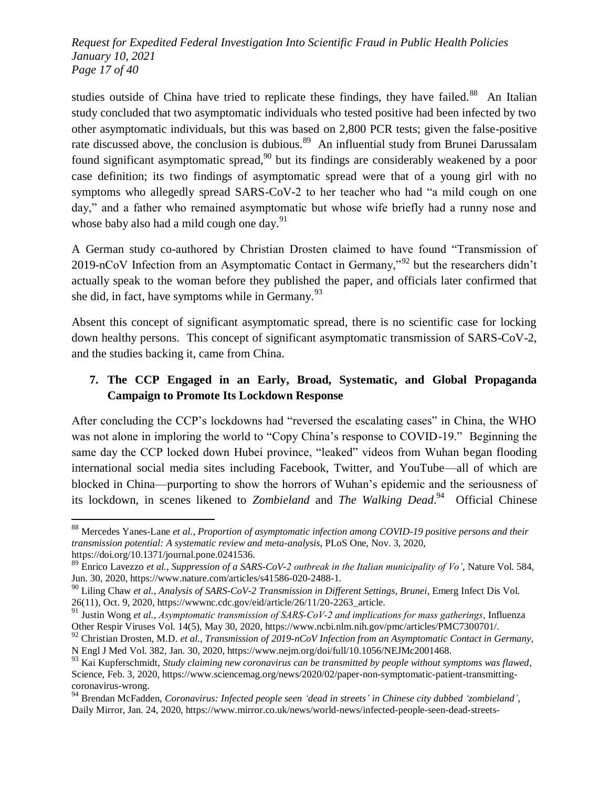*Request for Expedited Federal Investigation Into Scientific Fraud in Public Health Policies January 10, 2021 Page 17 of 40*

studies outside of China have tried to replicate these findings, they have failed.<sup>88</sup> An Italian study concluded that two asymptomatic individuals who tested positive had been infected by two other asymptomatic individuals, but this was based on 2,800 PCR tests; given the false-positive rate discussed above, the conclusion is dubious.<sup>89</sup> An influential study from Brunei Darussalam found significant asymptomatic spread,  $90$  but its findings are considerably weakened by a poor case definition; its two findings of asymptomatic spread were that of a young girl with no symptoms who allegedly spread SARS-CoV-2 to her teacher who had "a mild cough on one day," and a father who remained asymptomatic but whose wife briefly had a runny nose and whose baby also had a mild cough one day.<sup>91</sup>

A German study co-authored by Christian Drosten claimed to have found "Transmission of 2019-nCoV Infection from an Asymptomatic Contact in Germany,"<sup>92</sup> but the researchers didn't actually speak to the woman before they published the paper, and officials later confirmed that she did, in fact, have symptoms while in Germany. $93$ 

Absent this concept of significant asymptomatic spread, there is no scientific case for locking down healthy persons. This concept of significant asymptomatic transmission of SARS-CoV-2, and the studies backing it, came from China.

## **7. The CCP Engaged in an Early, Broad, Systematic, and Global Propaganda Campaign to Promote Its Lockdown Response**

After concluding the CCP's lockdowns had "reversed the escalating cases" in China, the WHO was not alone in imploring the world to "Copy China's response to COVID-19." Beginning the same day the CCP locked down Hubei province, "leaked" videos from Wuhan began flooding international social media sites including Facebook, Twitter, and YouTube—all of which are blocked in China—purporting to show the horrors of Wuhan's epidemic and the seriousness of its lockdown, in scenes likened to *Zombieland* and *The Walking Dead*. 94 Official Chinese

<sup>88</sup> Mercedes Yanes-Lane *et al.*, *Proportion of asymptomatic infection among COVID-19 positive persons and their transmission potential: A systematic review and meta-analysis*, PLoS One, Nov. 3, 2020, https://doi.org/10.1371/journal.pone.0241536.

<sup>89</sup> Enrico Lavezzo *et al.*, *Suppression of a SARS-CoV-2 outbreak in the Italian municipality of Vo'*, Nature Vol. 584, Jun. 30, 2020, https://www.nature.com/articles/s41586-020-2488-1.

<sup>90</sup> Liling Chaw *et al.*, *Analysis of SARS-CoV-2 Transmission in Different Settings, Brunei*, Emerg Infect Dis Vol. 26(11), Oct. 9, 2020, https://wwwnc.cdc.gov/eid/article/26/11/20-2263\_article.

<sup>91</sup> Justin Wong *et al.*, *Asymptomatic transmission of SARS‐CoV‐2 and implications for mass gatherings*, Influenza Other Respir Viruses Vol. 14(5), May 30, 2020, https://www.ncbi.nlm.nih.gov/pmc/articles/PMC7300701/.

<sup>92</sup> Christian Drosten, M.D. *et al.*, *Transmission of 2019-nCoV Infection from an Asymptomatic Contact in Germany*, N Engl J Med Vol. 382, Jan. 30, 2020, https://www.nejm.org/doi/full/10.1056/NEJMc2001468.

<sup>93</sup> Kai Kupferschmidt, *Study claiming new coronavirus can be transmitted by people without symptoms was flawed*, Science, Feb. 3, 2020, https://www.sciencemag.org/news/2020/02/paper-non-symptomatic-patient-transmittingcoronavirus-wrong.

<sup>94</sup> Brendan McFadden, *Coronavirus: Infected people seen ‗dead in streets' in Chinese city dubbed ‗zombieland'*, Daily Mirror, Jan. 24, 2020, https://www.mirror.co.uk/news/world-news/infected-people-seen-dead-streets-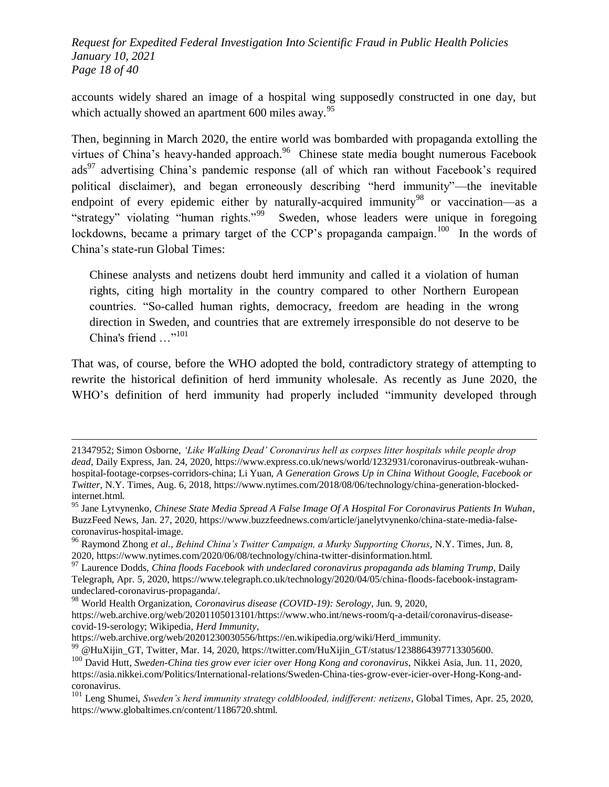*Request for Expedited Federal Investigation Into Scientific Fraud in Public Health Policies January 10, 2021 Page 18 of 40*

accounts widely shared an image of a hospital wing supposedly constructed in one day, but which actually showed an apartment 600 miles away.<sup>95</sup>

Then, beginning in March 2020, the entire world was bombarded with propaganda extolling the virtues of China's heavy-handed approach. $96$  Chinese state media bought numerous Facebook ads<sup>97</sup> advertising China's pandemic response (all of which ran without Facebook's required political disclaimer), and began erroneously describing "herd immunity"—the inevitable endpoint of every epidemic either by naturally-acquired immunity<sup>98</sup> or vaccination—as a "strategy" violating "human rights."<sup>99</sup> Sweden, whose leaders were unique in foregoing lockdowns, became a primary target of the CCP's propaganda campaign.<sup>100</sup> In the words of China's state-run Global Times:

Chinese analysts and netizens doubt herd immunity and called it a violation of human rights, citing high mortality in the country compared to other Northern European countries. "So-called human rights, democracy, freedom are heading in the wrong direction in Sweden, and countries that are extremely irresponsible do not deserve to be China's friend ..."<sup>101</sup>

That was, of course, before the WHO adopted the bold, contradictory strategy of attempting to rewrite the historical definition of herd immunity wholesale. As recently as June 2020, the WHO's definition of herd immunity had properly included "immunity developed through

<sup>96</sup> Raymond Zhong *et al.*, *Behind China's Twitter Campaign, a Murky Supporting Chorus*, N.Y. Times, Jun. 8, 2020, https://www.nytimes.com/2020/06/08/technology/china-twitter-disinformation.html.

<sup>21347952;</sup> Simon Osborne, *‗Like Walking Dead' Coronavirus hell as corpses litter hospitals while people drop dead*, Daily Express, Jan. 24, 2020, https://www.express.co.uk/news/world/1232931/coronavirus-outbreak-wuhanhospital-footage-corpses-corridors-china; Li Yuan, *A Generation Grows Up in China Without Google, Facebook or Twitter*, N.Y. Times, Aug. 6, 2018, https://www.nytimes.com/2018/08/06/technology/china-generation-blockedinternet.html.

<sup>95</sup> Jane Lytvynenko, *Chinese State Media Spread A False Image Of A Hospital For Coronavirus Patients In Wuhan*, BuzzFeed News, Jan. 27, 2020, https://www.buzzfeednews.com/article/janelytvynenko/china-state-media-falsecoronavirus-hospital-image.

<sup>&</sup>lt;sup>97</sup> Laurence Dodds, *China floods Facebook with undeclared coronavirus propaganda ads blaming Trump*, Daily Telegraph, Apr. 5, 2020, https://www.telegraph.co.uk/technology/2020/04/05/china-floods-facebook-instagramundeclared-coronavirus-propaganda/.

<sup>98</sup> World Health Organization, *Coronavirus disease (COVID-19): Serology*, Jun. 9, 2020, https://web.archive.org/web/20201105013101/https://www.who.int/news-room/q-a-detail/coronavirus-diseasecovid-19-serology; Wikipedia, *Herd Immunity*,

https://web.archive.org/web/20201230030556/https://en.wikipedia.org/wiki/Herd\_immunity.

<sup>99</sup> @HuXijin\_GT, Twitter, Mar. 14, 2020, https://twitter.com/HuXijin\_GT/status/1238864397713305600.

<sup>100</sup> David Hutt, *Sweden-China ties grow ever icier over Hong Kong and coronavirus*, Nikkei Asia, Jun. 11, 2020, https://asia.nikkei.com/Politics/International-relations/Sweden-China-ties-grow-ever-icier-over-Hong-Kong-andcoronavirus.

<sup>101</sup> Leng Shumei, *Sweden's herd immunity strategy coldblooded, indifferent: netizens*, Global Times, Apr. 25, 2020, https://www.globaltimes.cn/content/1186720.shtml.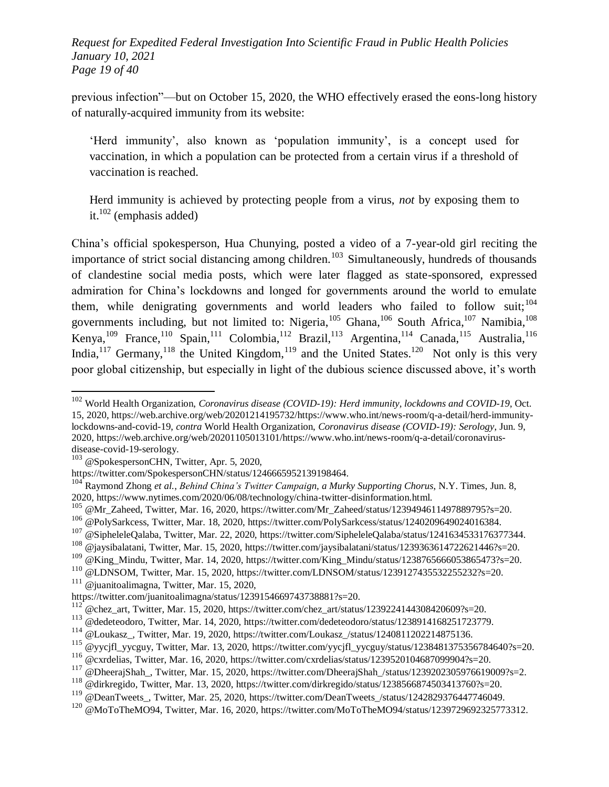*Request for Expedited Federal Investigation Into Scientific Fraud in Public Health Policies January 10, 2021 Page 19 of 40*

previous infection"—but on October 15, 2020, the WHO effectively erased the eons-long history of naturally-acquired immunity from its website:

‗Herd immunity', also known as ‗population immunity', is a concept used for vaccination, in which a population can be protected from a certain virus if a threshold of vaccination is reached.

Herd immunity is achieved by protecting people from a virus, *not* by exposing them to it.<sup>102</sup> (emphasis added)

China's official spokesperson, Hua Chunying, posted a video of a 7-year-old girl reciting the importance of strict social distancing among children.<sup>103</sup> Simultaneously, hundreds of thousands of clandestine social media posts, which were later flagged as state-sponsored, expressed admiration for China's lockdowns and longed for governments around the world to emulate them, while denigrating governments and world leaders who failed to follow suit;<sup>104</sup> governments including, but not limited to: Nigeria,  $^{105}$  Ghana,  $^{106}$  South Africa,  $^{107}$  Namibia,  $^{108}$ Kenya,<sup>109</sup> France,<sup>110</sup> Spain,<sup>111</sup> Colombia,<sup>112</sup> Brazil,<sup>113</sup> Argentina,<sup>114</sup> Canada,<sup>115</sup> Australia,<sup>116</sup> India,  $117$  Germany,  $118$  the United Kingdom,  $119$  and the United States.  $120$  Not only is this very poor global citizenship, but especially in light of the dubious science discussed above, it's worth

<sup>102</sup> World Health Organization, *Coronavirus disease (COVID-19): Herd immunity, lockdowns and COVID-19*, Oct. 15, 2020, https://web.archive.org/web/20201214195732/https://www.who.int/news-room/q-a-detail/herd-immunitylockdowns-and-covid-19, *contra* World Health Organization, *Coronavirus disease (COVID-19): Serology*, Jun. 9, 2020, https://web.archive.org/web/20201105013101/https://www.who.int/news-room/q-a-detail/coronavirusdisease-covid-19-serology.

 $103$  @SpokespersonCHN, Twitter, Apr. 5, 2020,

https://twitter.com/SpokespersonCHN/status/1246665952139198464.

<sup>104</sup> Raymond Zhong *et al.*, *Behind China's Twitter Campaign, a Murky Supporting Chorus*, N.Y. Times, Jun. 8, 2020, https://www.nytimes.com/2020/06/08/technology/china-twitter-disinformation.html.

<sup>&</sup>lt;sup>105</sup> @Mr\_Zaheed, Twitter, Mar. 16, 2020, https://twitter.com/Mr\_Zaheed/status/1239494611497889795?s=20.

<sup>106</sup> @PolySarkcess, Twitter, Mar. 18, 2020, https://twitter.com/PolySarkcess/status/1240209649024016384.

<sup>&</sup>lt;sup>107</sup> @SipheleleQalaba, Twitter, Mar. 22, 2020, https://twitter.com/SipheleleQalaba/status/1241634533176377344.

<sup>108</sup> @jaysibalatani, Twitter, Mar. 15, 2020, https://twitter.com/jaysibalatani/status/1239363614722621446?s=20.

<sup>109</sup> @King\_Mindu, Twitter, Mar. 14, 2020, https://twitter.com/King\_Mindu/status/1238765666053865473?s=20.

<sup>&</sup>lt;sup>110</sup> @LDNSOM, Twitter, Mar. 15, 2020, https://twitter.com/LDNSOM/status/1239127435532255232?s=20.

 $111$  @ juanitoalimagna, Twitter, Mar. 15, 2020,

https://twitter.com/juanitoalimagna/status/1239154669743738881?s=20.

 $^{112}$  @chez\_art, Twitter, Mar. 15, 2020, https://twitter.com/chez\_art/status/1239224144308420609?s=20.

<sup>113</sup> @dedeteodoro, Twitter, Mar. 14, 2020, https://twitter.com/dedeteodoro/status/1238914168251723779.

<sup>114</sup> @Loukasz\_, Twitter, Mar. 19, 2020, https://twitter.com/Loukasz\_/status/1240811202214875136.

<sup>&</sup>lt;sup>115</sup> @yycjfl\_yycguy, Twitter, Mar. 13, 2020, https://twitter.com/yycjfl\_yycguy/status/1238481375356784640?s=20.

<sup>116</sup> @cxrdelias, Twitter, Mar. 16, 2020, https://twitter.com/cxrdelias/status/1239520104687099904?s=20.

 $117$  @DheerajShah, Twitter, Mar. 15, 2020, https://twitter.com/DheerajShah\_/status/1239202305976619009?s=2.

<sup>118</sup> @dirkregido, Twitter, Mar. 13, 2020, https://twitter.com/dirkregido/status/1238566874503413760?s=20.

<sup>&</sup>lt;sup>119</sup> @DeanTweets, Twitter, Mar. 25, 2020, https://twitter.com/DeanTweets\_/status/1242829376447746049.

<sup>120</sup> @MoToTheMO94, Twitter, Mar. 16, 2020, https://twitter.com/MoToTheMO94/status/1239729692325773312.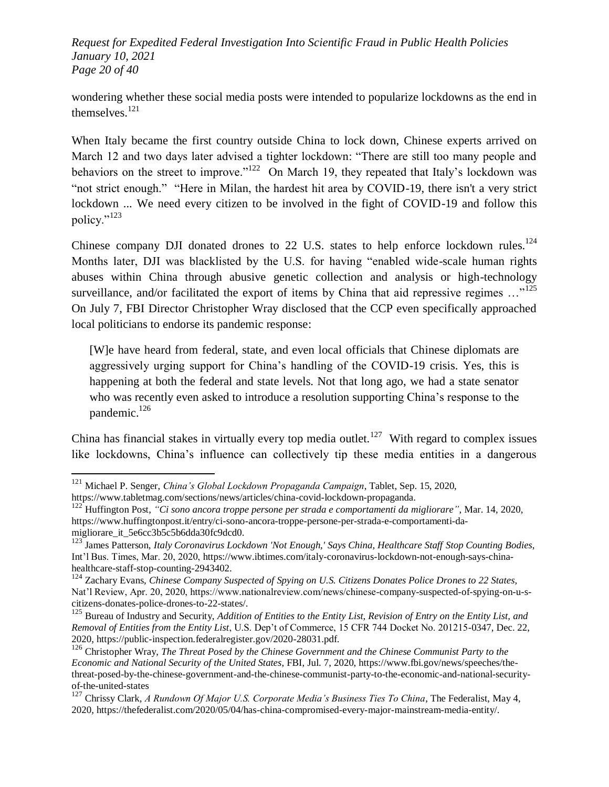*Request for Expedited Federal Investigation Into Scientific Fraud in Public Health Policies January 10, 2021 Page 20 of 40*

wondering whether these social media posts were intended to popularize lockdowns as the end in themselves.<sup>121</sup>

When Italy became the first country outside China to lock down, Chinese experts arrived on March 12 and two days later advised a tighter lockdown: "There are still too many people and behaviors on the street to improve."<sup>122</sup> On March 19, they repeated that Italy's lockdown was "not strict enough." "Here in Milan, the hardest hit area by COVID-19, there isn't a very strict lockdown ... We need every citizen to be involved in the fight of COVID-19 and follow this policy."<sup>123</sup>

Chinese company DJI donated drones to 22 U.S. states to help enforce lockdown rules.<sup>124</sup> Months later, DJI was blacklisted by the U.S. for having "enabled wide-scale human rights abuses within China through abusive genetic collection and analysis or high-technology surveillance, and/or facilitated the export of items by China that aid repressive regimes  $\ldots$ <sup>125</sup> On July 7, FBI Director Christopher Wray disclosed that the CCP even specifically approached local politicians to endorse its pandemic response:

[W]e have heard from federal, state, and even local officials that Chinese diplomats are aggressively urging support for China's handling of the COVID-19 crisis. Yes, this is happening at both the federal and state levels. Not that long ago, we had a state senator who was recently even asked to introduce a resolution supporting China's response to the pandemic. $126$ 

China has financial stakes in virtually every top media outlet.<sup>127</sup> With regard to complex issues like lockdowns, China's influence can collectively tip these media entities in a dangerous

<sup>121</sup> Michael P. Senger, *China's Global Lockdown Propaganda Campaign*, Tablet, Sep. 15, 2020, https://www.tabletmag.com/sections/news/articles/china-covid-lockdown-propaganda.

<sup>&</sup>lt;sup>122</sup> Huffington Post, "Ci sono ancora troppe persone per strada e comportamenti da migliorare", Mar. 14, 2020, https://www.huffingtonpost.it/entry/ci-sono-ancora-troppe-persone-per-strada-e-comportamenti-damigliorare\_it\_5e6cc3b5c5b6dda30fc9dcd0.

<sup>123</sup> James Patterson, *Italy Coronavirus Lockdown 'Not Enough,' Says China, Healthcare Staff Stop Counting Bodies*, Int'l Bus. Times, Mar. 20, 2020, https://www.ibtimes.com/italy-coronavirus-lockdown-not-enough-says-chinahealthcare-staff-stop-counting-2943402.

<sup>124</sup> Zachary Evans, *Chinese Company Suspected of Spying on U.S. Citizens Donates Police Drones to 22 States*, Nat'l Review, Apr. 20, 2020, https://www.nationalreview.com/news/chinese-company-suspected-of-spying-on-u-scitizens-donates-police-drones-to-22-states/.

<sup>125</sup> Bureau of Industry and Security, *Addition of Entities to the Entity List, Revision of Entry on the Entity List, and Removal of Entities from the Entity List*, U.S. Dep't of Commerce, 15 CFR 744 Docket No. 201215-0347, Dec. 22, 2020, https://public-inspection.federalregister.gov/2020-28031.pdf.

<sup>&</sup>lt;sup>126</sup> Christopher Wray, *The Threat Posed by the Chinese Government and the Chinese Communist Party to the Economic and National Security of the United States*, FBI, Jul. 7, 2020, https://www.fbi.gov/news/speeches/thethreat-posed-by-the-chinese-government-and-the-chinese-communist-party-to-the-economic-and-national-securityof-the-united-states

<sup>127</sup> Chrissy Clark, *A Rundown Of Major U.S. Corporate Media's Business Ties To China*, The Federalist, May 4, 2020, https://thefederalist.com/2020/05/04/has-china-compromised-every-major-mainstream-media-entity/.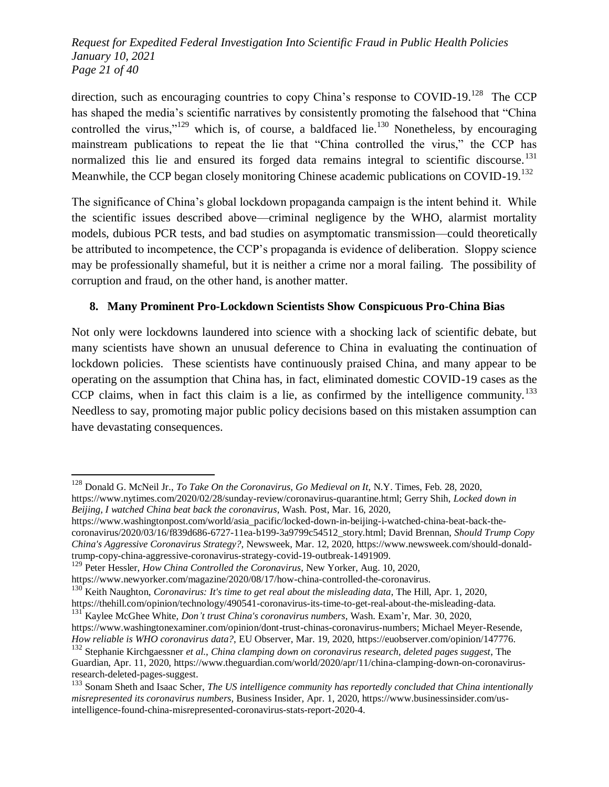*Request for Expedited Federal Investigation Into Scientific Fraud in Public Health Policies January 10, 2021 Page 21 of 40*

direction, such as encouraging countries to copy China's response to COVID-19.<sup>128</sup> The CCP has shaped the media's scientific narratives by consistently promoting the falsehood that "China" controlled the virus,"<sup>129</sup> which is, of course, a baldfaced lie.<sup>130</sup> Nonetheless, by encouraging mainstream publications to repeat the lie that "China controlled the virus," the CCP has normalized this lie and ensured its forged data remains integral to scientific discourse.<sup>131</sup> Meanwhile, the CCP began closely monitoring Chinese academic publications on COVID-19.<sup>132</sup>

The significance of China's global lockdown propaganda campaign is the intent behind it. While the scientific issues described above—criminal negligence by the WHO, alarmist mortality models, dubious PCR tests, and bad studies on asymptomatic transmission—could theoretically be attributed to incompetence, the CCP's propaganda is evidence of deliberation. Sloppy science may be professionally shameful, but it is neither a crime nor a moral failing. The possibility of corruption and fraud, on the other hand, is another matter.

#### **8. Many Prominent Pro-Lockdown Scientists Show Conspicuous Pro-China Bias**

Not only were lockdowns laundered into science with a shocking lack of scientific debate, but many scientists have shown an unusual deference to China in evaluating the continuation of lockdown policies. These scientists have continuously praised China, and many appear to be operating on the assumption that China has, in fact, eliminated domestic COVID-19 cases as the CCP claims, when in fact this claim is a lie, as confirmed by the intelligence community.<sup>133</sup> Needless to say, promoting major public policy decisions based on this mistaken assumption can have devastating consequences.

<sup>128</sup> Donald G. McNeil Jr., *To Take On the Coronavirus, Go Medieval on It*, N.Y. Times, Feb. 28, 2020, https://www.nytimes.com/2020/02/28/sunday-review/coronavirus-quarantine.html; Gerry Shih, *Locked down in Beijing, I watched China beat back the coronavirus*, Wash. Post, Mar. 16, 2020,

https://www.washingtonpost.com/world/asia\_pacific/locked-down-in-beijing-i-watched-china-beat-back-thecoronavirus/2020/03/16/f839d686-6727-11ea-b199-3a9799c54512\_story.html; David Brennan, *Should Trump Copy China's Aggressive Coronavirus Strategy?*, Newsweek, Mar. 12, 2020, https://www.newsweek.com/should-donaldtrump-copy-china-aggressive-coronavirus-strategy-covid-19-outbreak-1491909.

<sup>129</sup> Peter Hessler, *How China Controlled the Coronavirus*, New Yorker, Aug. 10, 2020,

https://www.newyorker.com/magazine/2020/08/17/how-china-controlled-the-coronavirus.

<sup>130</sup> Keith Naughton, *Coronavirus: It's time to get real about the misleading data*, The Hill, Apr. 1, 2020, https://thehill.com/opinion/technology/490541-coronavirus-its-time-to-get-real-about-the-misleading-data.

<sup>131</sup> Kaylee McGhee White, *Don't trust China's coronavirus numbers*, Wash. Exam'r, Mar. 30, 2020, https://www.washingtonexaminer.com/opinion/dont-trust-chinas-coronavirus-numbers; Michael Meyer-Resende, *How reliable is WHO coronavirus data?*, EU Observer, Mar. 19, 2020, https://euobserver.com/opinion/147776.

<sup>132</sup> Stephanie Kirchgaessner *et al.*, *China clamping down on coronavirus research, deleted pages suggest*, The Guardian, Apr. 11, 2020, https://www.theguardian.com/world/2020/apr/11/china-clamping-down-on-coronavirusresearch-deleted-pages-suggest.

<sup>133</sup> Sonam Sheth and Isaac Scher, *The US intelligence community has reportedly concluded that China intentionally misrepresented its coronavirus numbers*, Business Insider, Apr. 1, 2020, https://www.businessinsider.com/usintelligence-found-china-misrepresented-coronavirus-stats-report-2020-4.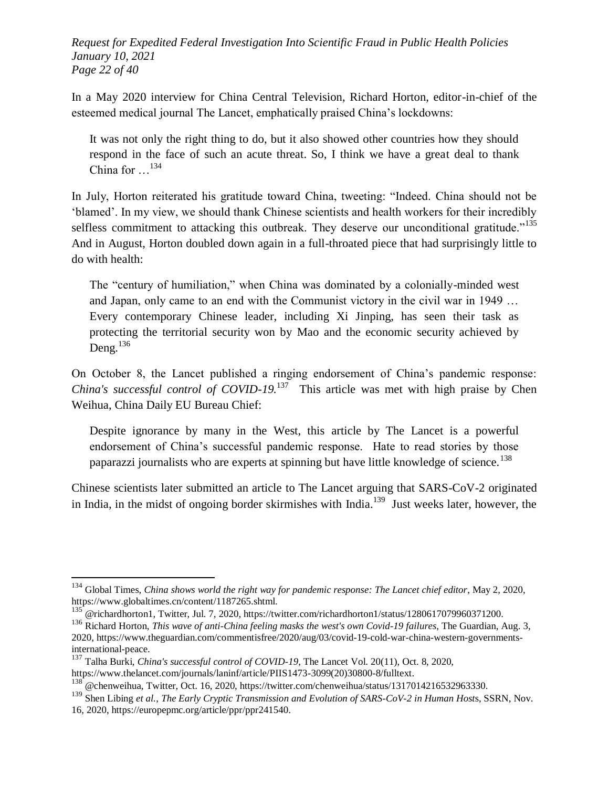*Request for Expedited Federal Investigation Into Scientific Fraud in Public Health Policies January 10, 2021 Page 22 of 40*

In a May 2020 interview for China Central Television, Richard Horton, editor-in-chief of the esteemed medical journal The Lancet, emphatically praised China's lockdowns:

It was not only the right thing to do, but it also showed other countries how they should respond in the face of such an acute threat. So, I think we have a great deal to thank China for  $\dots$ <sup>134</sup>

In July, Horton reiterated his gratitude toward China, tweeting: "Indeed. China should not be ‗blamed'. In my view, we should thank Chinese scientists and health workers for their incredibly selfless commitment to attacking this outbreak. They deserve our unconditional gratitude."<sup>135</sup> And in August, Horton doubled down again in a full-throated piece that had surprisingly little to do with health:

The "century of humiliation," when China was dominated by a colonially-minded west and Japan, only came to an end with the Communist victory in the civil war in 1949 … Every contemporary Chinese leader, including Xi Jinping, has seen their task as protecting the territorial security won by Mao and the economic security achieved by Deng. $^{136}$ 

On October 8, the Lancet published a ringing endorsement of China's pandemic response: *China's successful control of COVID-19.*<sup>137</sup> This article was met with high praise by Chen Weihua, China Daily EU Bureau Chief:

Despite ignorance by many in the West, this article by The Lancet is a powerful endorsement of China's successful pandemic response. Hate to read stories by those paparazzi journalists who are experts at spinning but have little knowledge of science.<sup>138</sup>

Chinese scientists later submitted an article to The Lancet arguing that SARS-CoV-2 originated in India, in the midst of ongoing border skirmishes with India. $^{139}$  Just weeks later, however, the

<sup>134</sup> Global Times, *China shows world the right way for pandemic response: The Lancet chief editor*, May 2, 2020, https://www.globaltimes.cn/content/1187265.shtml.

<sup>&</sup>lt;sup>135</sup> @richardhorton1, Twitter, Jul. 7, 2020, https://twitter.com/richardhorton1/status/1280617079960371200.

<sup>136</sup> Richard Horton, *This wave of anti-China feeling masks the west's own Covid-19 failures*, The Guardian, Aug. 3, 2020, https://www.theguardian.com/commentisfree/2020/aug/03/covid-19-cold-war-china-western-governmentsinternational-peace.

<sup>137</sup> Talha Burki, *China's successful control of COVID-19*, The Lancet Vol. 20(11), Oct. 8, 2020,

https://www.thelancet.com/journals/laninf/article/PIIS1473-3099(20)30800-8/fulltext.

 $^{138}$  @chenweihua, Twitter, Oct. 16, 2020, https://twitter.com/chenweihua/status/1317014216532963330.

<sup>139</sup> Shen Libing *et al.*, *The Early Cryptic Transmission and Evolution of SARS-CoV-2 in Human Host*s, SSRN, Nov. 16, 2020, https://europepmc.org/article/ppr/ppr241540.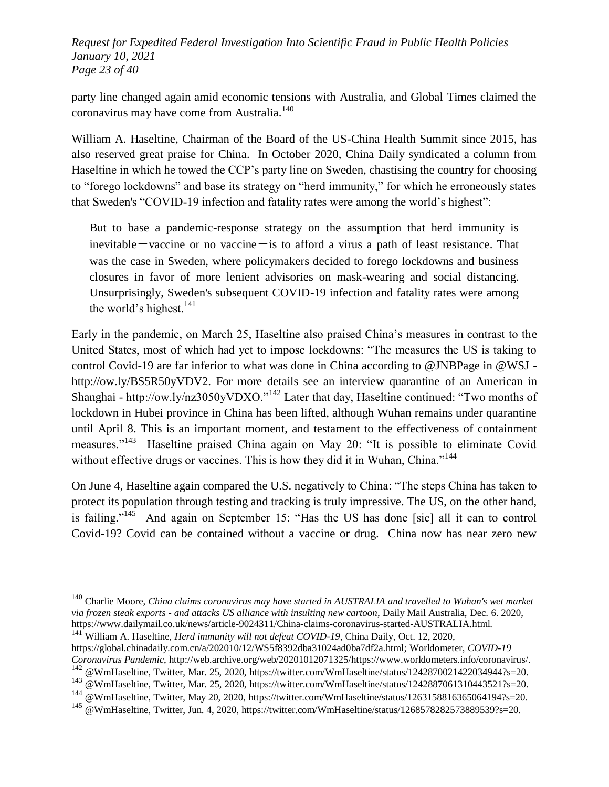*Request for Expedited Federal Investigation Into Scientific Fraud in Public Health Policies January 10, 2021 Page 23 of 40*

party line changed again amid economic tensions with Australia, and Global Times claimed the coronavirus may have come from Australia.<sup>140</sup>

William A. Haseltine, Chairman of the Board of the US-China Health Summit since 2015, has also reserved great praise for China. In October 2020, China Daily syndicated a column from Haseltine in which he towed the CCP's party line on Sweden, chastising the country for choosing to "forego lockdowns" and base its strategy on "herd immunity," for which he erroneously states that Sweden's "COVID-19 infection and fatality rates were among the world's highest":

But to base a pandemic-response strategy on the assumption that herd immunity is inevitable  $-$ vaccine or no vaccine $-$ is to afford a virus a path of least resistance. That was the case in Sweden, where policymakers decided to forego lockdowns and business closures in favor of more lenient advisories on mask-wearing and social distancing. Unsurprisingly, Sweden's subsequent COVID-19 infection and fatality rates were among the world's highest. $^{141}$ 

Early in the pandemic, on March 25, Haseltine also praised China's measures in contrast to the United States, most of which had yet to impose lockdowns: "The measures the US is taking to control Covid-19 are far inferior to what was done in China according to @JNBPage in @WSJ http://ow.ly/BS5R50yVDV2. For more details see an interview quarantine of an American in Shanghai - http://ow.ly/nz3050yVDXO."<sup>142</sup> Later that day, Haseltine continued: "Two months of lockdown in Hubei province in China has been lifted, although Wuhan remains under quarantine until April 8. This is an important moment, and testament to the effectiveness of containment measures."<sup>143</sup> Haseltine praised China again on May 20: "It is possible to eliminate Covid without effective drugs or vaccines. This is how they did it in Wuhan, China."<sup>144</sup>

On June 4, Haseltine again compared the U.S. negatively to China: "The steps China has taken to protect its population through testing and tracking is truly impressive. The US, on the other hand, is failing."<sup>145</sup> And again on September 15: "Has the US has done [sic] all it can to control Covid-19? Covid can be contained without a vaccine or drug. China now has near zero new

<sup>&</sup>lt;sup>140</sup> Charlie Moore, *China claims coronavirus may have started in AUSTRALIA and travelled to Wuhan's wet market via frozen steak exports - and attacks US alliance with insulting new cartoon*, Daily Mail Australia, Dec. 6. 2020, https://www.dailymail.co.uk/news/article-9024311/China-claims-coronavirus-started-AUSTRALIA.html. <sup>141</sup> William A. Haseltine, *Herd immunity will not defeat COVID-19*, China Daily, Oct. 12, 2020,

https://global.chinadaily.com.cn/a/202010/12/WS5f8392dba31024ad0ba7df2a.html; Worldometer, *COVID-19* 

*Coronavirus Pandemic*, http://web.archive.org/web/20201012071325/https://www.worldometers.info/coronavirus/. <sup>142</sup> @WmHaseltine, Twitter, Mar. 25, 2020, https://twitter.com/WmHaseltine/status/1242870021422034944?s=20.

<sup>&</sup>lt;sup>143</sup> @WmHaseltine, Twitter, Mar. 25, 2020, https://twitter.com/WmHaseltine/status/1242887061310443521?s=20.

 $144$  @WmHaseltine, Twitter, May 20, 2020, https://twitter.com/WmHaseltine/status/1263158816365064194?s=20.

<sup>&</sup>lt;sup>145</sup> @WmHaseltine, Twitter, Jun. 4, 2020, https://twitter.com/WmHaseltine/status/1268578282573889539?s=20.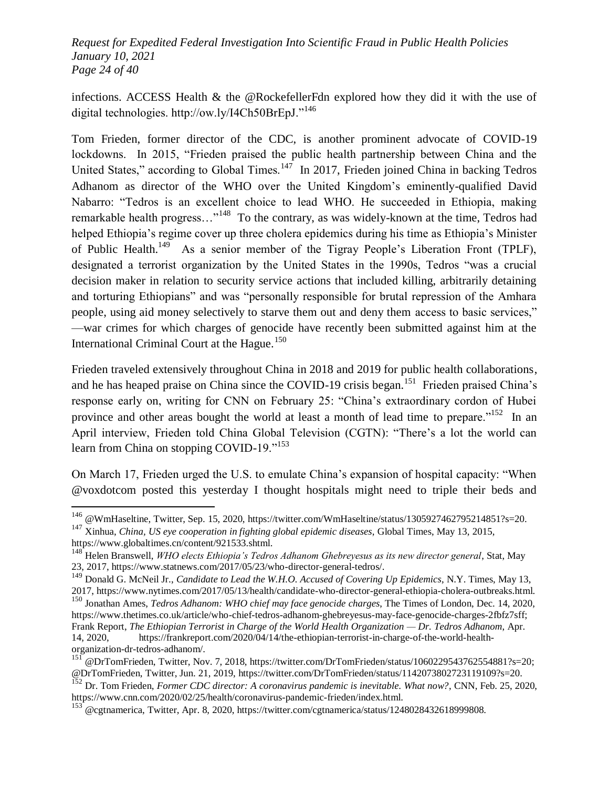*Request for Expedited Federal Investigation Into Scientific Fraud in Public Health Policies January 10, 2021 Page 24 of 40*

infections. ACCESS Health & the @RockefellerFdn explored how they did it with the use of digital technologies. http://ow.ly/I4Ch50BrEpJ."<sup>146</sup>

Tom Frieden, former director of the CDC, is another prominent advocate of COVID-19 lockdowns. In 2015, "Frieden praised the public health partnership between China and the United States," according to Global Times.<sup>147</sup> In 2017, Frieden joined China in backing Tedros Adhanom as director of the WHO over the United Kingdom's eminently-qualified David Nabarro: "Tedros is an excellent choice to lead WHO. He succeeded in Ethiopia, making remarkable health progress..."<sup>148</sup> To the contrary, as was widely-known at the time, Tedros had helped Ethiopia's regime cover up three cholera epidemics during his time as Ethiopia's Minister of Public Health.<sup>149</sup> As a senior member of the Tigray People's Liberation Front (TPLF), designated a terrorist organization by the United States in the 1990s, Tedros "was a crucial decision maker in relation to security service actions that included killing, arbitrarily detaining and torturing Ethiopians" and was "personally responsible for brutal repression of the Amhara people, using aid money selectively to starve them out and deny them access to basic services," —war crimes for which charges of genocide have recently been submitted against him at the International Criminal Court at the Hague.<sup>150</sup>

Frieden traveled extensively throughout China in 2018 and 2019 for public health collaborations, and he has heaped praise on China since the COVID-19 crisis began.<sup>151</sup> Frieden praised China's response early on, writing for CNN on February 25: "China's extraordinary cordon of Hubei province and other areas bought the world at least a month of lead time to prepare."<sup>152</sup> In an April interview, Frieden told China Global Television (CGTN): "There's a lot the world can learn from China on stopping COVID-19. $153$ 

On March 17, Frieden urged the U.S. to emulate China's expansion of hospital capacity: "When @voxdotcom posted this yesterday I thought hospitals might need to triple their beds and

<sup>&</sup>lt;sup>146</sup> @WmHaseltine, Twitter, Sep. 15, 2020, https://twitter.com/WmHaseltine/status/1305927462795214851?s=20.

<sup>147</sup> Xinhua, *China, US eye cooperation in fighting global epidemic diseases*, Global Times, May 13, 2015, https://www.globaltimes.cn/content/921533.shtml.

<sup>148</sup> Helen Branswell, *WHO elects Ethiopia's Tedros Adhanom Ghebreyesus as its new director general*, Stat, May 23, 2017, https://www.statnews.com/2017/05/23/who-director-general-tedros/.

<sup>149</sup> Donald G. McNeil Jr., *Candidate to Lead the W.H.O. Accused of Covering Up Epidemics*, N.Y. Times, May 13, 2017, https://www.nytimes.com/2017/05/13/health/candidate-who-director-general-ethiopia-cholera-outbreaks.html.

<sup>150</sup> Jonathan Ames, *Tedros Adhanom: WHO chief may face genocide charges*, The Times of London, Dec. 14, 2020, https://www.thetimes.co.uk/article/who-chief-tedros-adhanom-ghebreyesus-may-face-genocide-charges-2fbfz7sff; Frank Report, *The Ethiopian Terrorist in Charge of the World Health Organization — Dr. Tedros Adhanom*, Apr. 14, 2020, https://frankreport.com/2020/04/14/the-ethiopian-terrorist-in-charge-of-the-world-healthorganization-dr-tedros-adhanom/.

 $^{151}$  @DrTomFrieden, Twitter, Nov. 7, 2018, https://twitter.com/DrTomFrieden/status/1060229543762554881?s=20; @DrTomFrieden, Twitter, Jun. 21, 2019, https://twitter.com/DrTomFrieden/status/1142073802723119109?s=20.

<sup>152</sup> Dr. Tom Frieden, *Former CDC director: A coronavirus pandemic is inevitable. What now?*, CNN, Feb. 25, 2020, https://www.cnn.com/2020/02/25/health/coronavirus-pandemic-frieden/index.html.

<sup>&</sup>lt;sup>153</sup> @cgtnamerica, Twitter, Apr. 8, 2020, https://twitter.com/cgtnamerica/status/1248028432618999808.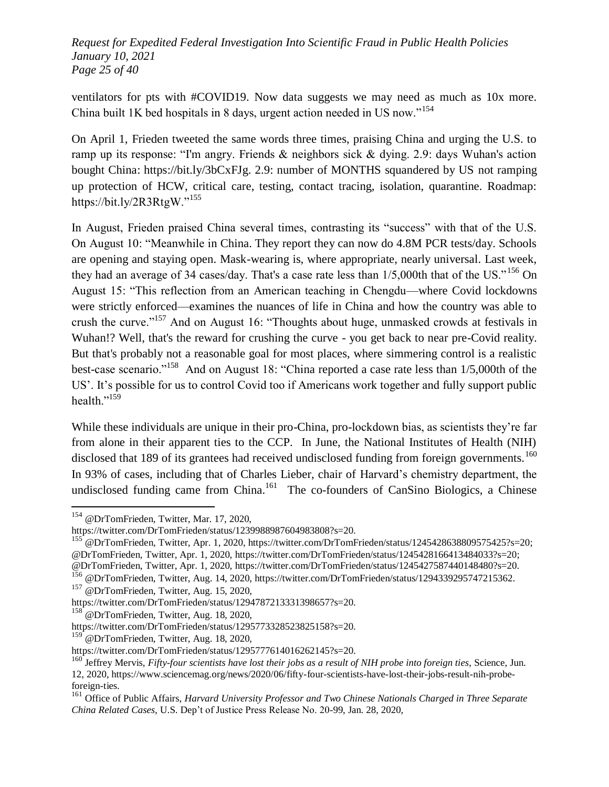*Request for Expedited Federal Investigation Into Scientific Fraud in Public Health Policies January 10, 2021 Page 25 of 40*

ventilators for pts with #COVID19. Now data suggests we may need as much as 10x more. China built 1K bed hospitals in 8 days, urgent action needed in US now."<sup>154</sup>

On April 1, Frieden tweeted the same words three times, praising China and urging the U.S. to ramp up its response: "I'm angry. Friends & neighbors sick & dying. 2.9: days Wuhan's action bought China: https://bit.ly/3bCxFJg. 2.9: number of MONTHS squandered by US not ramping up protection of HCW, critical care, testing, contact tracing, isolation, quarantine. Roadmap: https://bit.ly/2R3RtgW." $155$ 

In August, Frieden praised China several times, contrasting its "success" with that of the U.S. On August 10: "Meanwhile in China. They report they can now do 4.8M PCR tests/day. Schools are opening and staying open. Mask-wearing is, where appropriate, nearly universal. Last week, they had an average of 34 cases/day. That's a case rate less than  $1/5,000$ th that of the US."<sup>156</sup> On August 15: "This reflection from an American teaching in Chengdu—where Covid lockdowns were strictly enforced—examines the nuances of life in China and how the country was able to crush the curve."<sup>157</sup> And on August 16: "Thoughts about huge, unmasked crowds at festivals in Wuhan!? Well, that's the reward for crushing the curve - you get back to near pre-Covid reality. But that's probably not a reasonable goal for most places, where simmering control is a realistic best-case scenario."<sup>158</sup> And on August 18: "China reported a case rate less than  $1/5,000$ th of the US'. It's possible for us to control Covid too if Americans work together and fully support public health."<sup>159</sup>

While these individuals are unique in their pro-China, pro-lockdown bias, as scientists they're far from alone in their apparent ties to the CCP. In June, the National Institutes of Health (NIH) disclosed that 189 of its grantees had received undisclosed funding from foreign governments.<sup>160</sup> In 93% of cases, including that of Charles Lieber, chair of Harvard's chemistry department, the undisclosed funding came from China. $161$  The co-founders of CanSino Biologics, a Chinese

 $\overline{a}$ 

<sup>155</sup> @DrTomFrieden, Twitter, Apr. 1, 2020, https://twitter.com/DrTomFrieden/status/1245428638809575425?s=20; @DrTomFrieden, Twitter, Apr. 1, 2020, https://twitter.com/DrTomFrieden/status/1245428166413484033?s=20; @DrTomFrieden, Twitter, Apr. 1, 2020, https://twitter.com/DrTomFrieden/status/1245427587440148480?s=20. <sup>156</sup> @DrTomFrieden, Twitter, Aug. 14, 2020, https://twitter.com/DrTomFrieden/status/1294339295747215362. <sup>157</sup> @DrTomFrieden, Twitter, Aug. 15, 2020,

<sup>&</sup>lt;sup>154</sup> @DrTomFrieden, Twitter, Mar. 17, 2020,

https://twitter.com/DrTomFrieden/status/1239988987604983808?s=20.

https://twitter.com/DrTomFrieden/status/1294787213331398657?s=20.

<sup>&</sup>lt;sup>158</sup> @DrTomFrieden, Twitter, Aug. 18, 2020,

https://twitter.com/DrTomFrieden/status/1295773328523825158?s=20.

<sup>&</sup>lt;sup>159</sup> @DrTomFrieden, Twitter, Aug. 18, 2020,

https://twitter.com/DrTomFrieden/status/1295777614016262145?s=20.

<sup>&</sup>lt;sup>160</sup> Jeffrey Mervis, *Fifty-four scientists have lost their jobs as a result of NIH probe into foreign ties, Science, Jun.* 12, 2020, https://www.sciencemag.org/news/2020/06/fifty-four-scientists-have-lost-their-jobs-result-nih-probeforeign-ties.

<sup>161</sup> Office of Public Affairs, *Harvard University Professor and Two Chinese Nationals Charged in Three Separate China Related Cases*, U.S. Dep't of Justice Press Release No. 20-99, Jan. 28, 2020,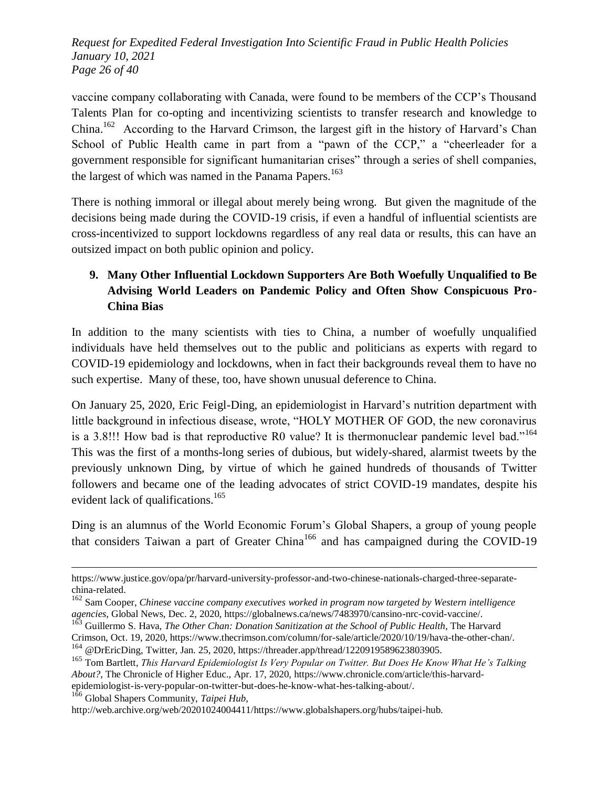*Request for Expedited Federal Investigation Into Scientific Fraud in Public Health Policies January 10, 2021 Page 26 of 40*

vaccine company collaborating with Canada, were found to be members of the CCP's Thousand Talents Plan for co-opting and incentivizing scientists to transfer research and knowledge to China.<sup>162</sup> According to the Harvard Crimson, the largest gift in the history of Harvard's Chan School of Public Health came in part from a "pawn of the CCP," a "cheerleader for a government responsible for significant humanitarian crises" through a series of shell companies, the largest of which was named in the Panama Papers.<sup>163</sup>

There is nothing immoral or illegal about merely being wrong. But given the magnitude of the decisions being made during the COVID-19 crisis, if even a handful of influential scientists are cross-incentivized to support lockdowns regardless of any real data or results, this can have an outsized impact on both public opinion and policy.

# **9. Many Other Influential Lockdown Supporters Are Both Woefully Unqualified to Be Advising World Leaders on Pandemic Policy and Often Show Conspicuous Pro-China Bias**

In addition to the many scientists with ties to China, a number of woefully unqualified individuals have held themselves out to the public and politicians as experts with regard to COVID-19 epidemiology and lockdowns, when in fact their backgrounds reveal them to have no such expertise. Many of these, too, have shown unusual deference to China.

On January 25, 2020, Eric Feigl-Ding, an epidemiologist in Harvard's nutrition department with little background in infectious disease, wrote, "HOLY MOTHER OF GOD, the new coronavirus is a 3.8!!! How bad is that reproductive R0 value? It is thermonuclear pandemic level bad."<sup>164</sup> This was the first of a months-long series of dubious, but widely-shared, alarmist tweets by the previously unknown Ding, by virtue of which he gained hundreds of thousands of Twitter followers and became one of the leading advocates of strict COVID-19 mandates, despite his evident lack of qualifications.<sup>165</sup>

Ding is an alumnus of the World Economic Forum's Global Shapers, a group of young people that considers Taiwan a part of Greater China<sup>166</sup> and has campaigned during the COVID-19

<sup>166</sup> Global Shapers Community, *Taipei Hub*,

https://www.justice.gov/opa/pr/harvard-university-professor-and-two-chinese-nationals-charged-three-separatechina-related.

<sup>162</sup> Sam Cooper, *Chinese vaccine company executives worked in program now targeted by Western intelligence agencies*, Global News, Dec. 2, 2020, https://globalnews.ca/news/7483970/cansino-nrc-covid-vaccine/.

<sup>163</sup> Guillermo S. Hava, *The Other Chan: Donation Sanitization at the School of Public Health*, The Harvard Crimson, Oct. 19, 2020, https://www.thecrimson.com/column/for-sale/article/2020/10/19/hava-the-other-chan/.

<sup>&</sup>lt;sup>164</sup> @DrEricDing, Twitter, Jan. 25, 2020, https://threader.app/thread/1220919589623803905.

<sup>165</sup> Tom Bartlett, *This Harvard Epidemiologist Is Very Popular on Twitter. But Does He Know What He's Talking About?*, The Chronicle of Higher Educ., Apr. 17, 2020, https://www.chronicle.com/article/this-harvardepidemiologist-is-very-popular-on-twitter-but-does-he-know-what-hes-talking-about/.

http://web.archive.org/web/20201024004411/https://www.globalshapers.org/hubs/taipei-hub.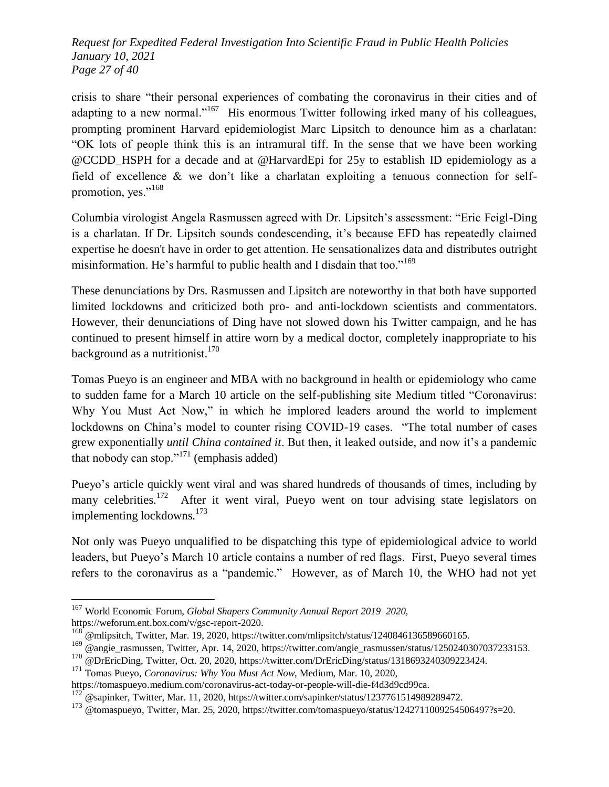*Request for Expedited Federal Investigation Into Scientific Fraud in Public Health Policies January 10, 2021 Page 27 of 40*

crisis to share "their personal experiences of combating the coronavirus in their cities and of adapting to a new normal."<sup>167</sup> His enormous Twitter following irked many of his colleagues, prompting prominent Harvard epidemiologist Marc Lipsitch to denounce him as a charlatan: ―OK lots of people think this is an intramural tiff. In the sense that we have been working @CCDD\_HSPH for a decade and at @HarvardEpi for 25y to establish ID epidemiology as a field of excellence & we don't like a charlatan exploiting a tenuous connection for selfpromotion, yes."<sup>168</sup>

Columbia virologist Angela Rasmussen agreed with Dr. Lipsitch's assessment: "Eric Feigl-Ding" is a charlatan. If Dr. Lipsitch sounds condescending, it's because EFD has repeatedly claimed expertise he doesn't have in order to get attention. He sensationalizes data and distributes outright misinformation. He's harmful to public health and I disdain that too."<sup>169</sup>

These denunciations by Drs. Rasmussen and Lipsitch are noteworthy in that both have supported limited lockdowns and criticized both pro- and anti-lockdown scientists and commentators. However, their denunciations of Ding have not slowed down his Twitter campaign, and he has continued to present himself in attire worn by a medical doctor, completely inappropriate to his background as a nutritionist. $170$ 

Tomas Pueyo is an engineer and MBA with no background in health or epidemiology who came to sudden fame for a March 10 article on the self-publishing site Medium titled "Coronavirus: Why You Must Act Now," in which he implored leaders around the world to implement lockdowns on China's model to counter rising COVID-19 cases. "The total number of cases grew exponentially *until China contained it*. But then, it leaked outside, and now it's a pandemic that nobody can stop."<sup>171</sup> (emphasis added)

Pueyo's article quickly went viral and was shared hundreds of thousands of times, including by many celebrities.<sup>172</sup> After it went viral, Pueyo went on tour advising state legislators on implementing lockdowns.<sup>173</sup>

Not only was Pueyo unqualified to be dispatching this type of epidemiological advice to world leaders, but Pueyo's March 10 article contains a number of red flags. First, Pueyo several times refers to the coronavirus as a "pandemic." However, as of March 10, the WHO had not yet

<sup>167</sup> World Economic Forum, *Global Shapers Community Annual Report 2019–2020*, https://weforum.ent.box.com/v/gsc-report-2020.

 $^{168}$  @mlipsitch, Twitter, Mar. 19, 2020, https://twitter.com/mlipsitch/status/1240846136589660165.

<sup>169</sup> @angie\_rasmussen, Twitter, Apr. 14, 2020, https://twitter.com/angie\_rasmussen/status/1250240307037233153.

<sup>&</sup>lt;sup>170</sup> @DrEricDing, Twitter, Oct. 20, 2020, https://twitter.com/DrEricDing/status/1318693240309223424.

<sup>171</sup> Tomas Pueyo, *Coronavirus: Why You Must Act Now*, Medium, Mar. 10, 2020,

https://tomaspueyo.medium.com/coronavirus-act-today-or-people-will-die-f4d3d9cd99ca.

 $172^{\degree}$ @sapinker, Twitter, Mar. 11, 2020, https://twitter.com/sapinker/status/1237761514989289472.

<sup>&</sup>lt;sup>173</sup> @tomaspueyo, Twitter, Mar. 25, 2020, https://twitter.com/tomaspueyo/status/1242711009254506497?s=20.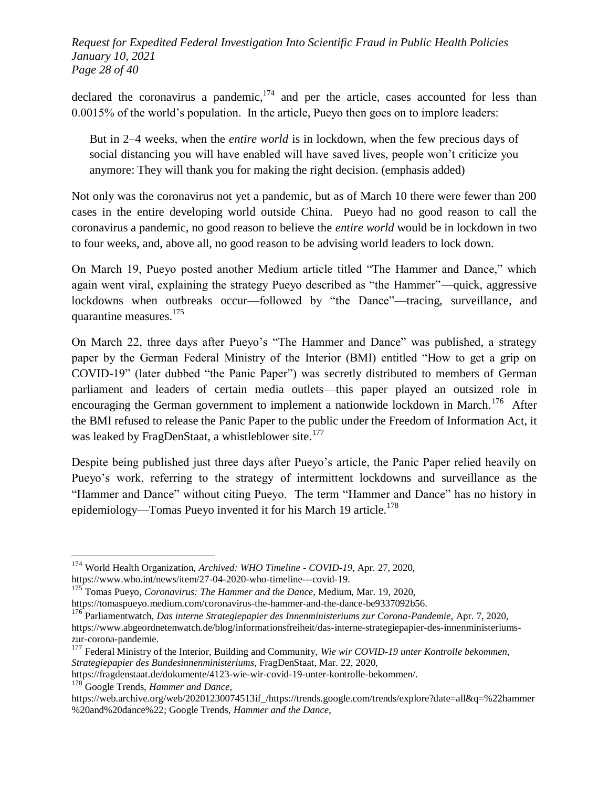*Request for Expedited Federal Investigation Into Scientific Fraud in Public Health Policies January 10, 2021 Page 28 of 40*

declared the coronavirus a pandemic, $174$  and per the article, cases accounted for less than 0.0015% of the world's population. In the article, Pueyo then goes on to implore leaders:

But in 2–4 weeks, when the *entire world* is in lockdown, when the few precious days of social distancing you will have enabled will have saved lives, people won't criticize you anymore: They will thank you for making the right decision. (emphasis added)

Not only was the coronavirus not yet a pandemic, but as of March 10 there were fewer than 200 cases in the entire developing world outside China. Pueyo had no good reason to call the coronavirus a pandemic, no good reason to believe the *entire world* would be in lockdown in two to four weeks, and, above all, no good reason to be advising world leaders to lock down.

On March 19, Pueyo posted another Medium article titled "The Hammer and Dance," which again went viral, explaining the strategy Pueyo described as "the Hammer"—quick, aggressive lockdowns when outbreaks occur—followed by "the Dance"—tracing, surveillance, and quarantine measures.<sup>175</sup>

On March 22, three days after Pueyo's "The Hammer and Dance" was published, a strategy paper by the German Federal Ministry of the Interior (BMI) entitled "How to get a grip on COVID-19" (later dubbed "the Panic Paper") was secretly distributed to members of German parliament and leaders of certain media outlets—this paper played an outsized role in encouraging the German government to implement a nationwide lockdown in March.<sup>176</sup> After the BMI refused to release the Panic Paper to the public under the Freedom of Information Act, it was leaked by FragDenStaat, a whistleblower site.<sup>177</sup>

Despite being published just three days after Pueyo's article, the Panic Paper relied heavily on Pueyo's work, referring to the strategy of intermittent lockdowns and surveillance as the "Hammer and Dance" without citing Pueyo. The term "Hammer and Dance" has no history in epidemiology—Tomas Pueyo invented it for his March 19 article.<sup>178</sup>

<sup>174</sup> World Health Organization, *Archived: WHO Timeline - COVID-19*, Apr. 27, 2020, https://www.who.int/news/item/27-04-2020-who-timeline---covid-19.

<sup>175</sup> Tomas Pueyo, *Coronavirus: The Hammer and the Dance*, Medium, Mar. 19, 2020, https://tomaspueyo.medium.com/coronavirus-the-hammer-and-the-dance-be9337092b56.

<sup>176</sup> Parliamentwatch, *Das interne Strategiepapier des Innenministeriums zur Corona-Pandemie*, Apr. 7, 2020, https://www.abgeordnetenwatch.de/blog/informationsfreiheit/das-interne-strategiepapier-des-innenministeriumszur-corona-pandemie.

<sup>177</sup> Federal Ministry of the Interior, Building and Community, *Wie wir COVID-19 unter Kontrolle bekommen*, *Strategiepapier des Bundesinnenministeriums*, FragDenStaat, Mar. 22, 2020,

https://fragdenstaat.de/dokumente/4123-wie-wir-covid-19-unter-kontrolle-bekommen/.

<sup>178</sup> Google Trends, *Hammer and Dance*,

https://web.archive.org/web/20201230074513if\_/https://trends.google.com/trends/explore?date=all&q=%22hammer %20and%20dance%22; Google Trends, *Hammer and the Dance*,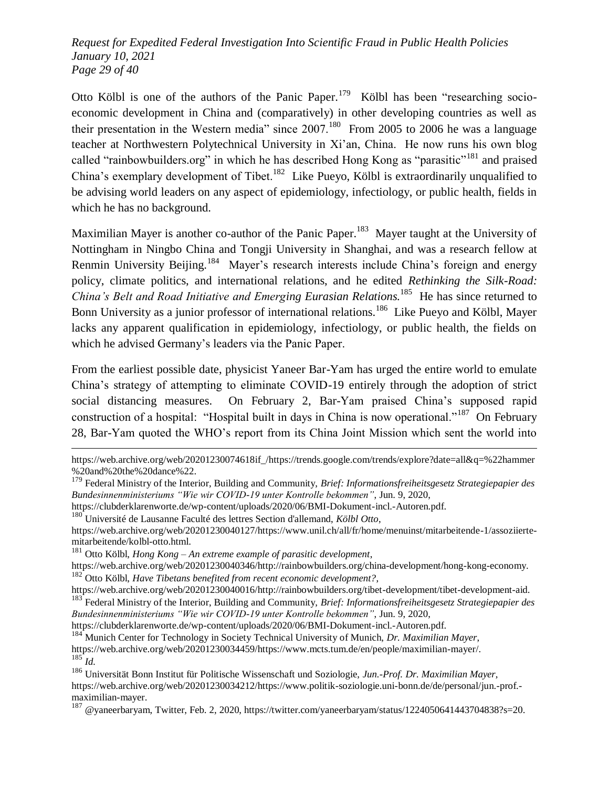*Request for Expedited Federal Investigation Into Scientific Fraud in Public Health Policies January 10, 2021 Page 29 of 40*

Otto Kölbl is one of the authors of the Panic Paper.<sup>179</sup> Kölbl has been "researching socioeconomic development in China and (comparatively) in other developing countries as well as their presentation in the Western media" since  $2007$ .<sup>180</sup> From 2005 to 2006 he was a language teacher at Northwestern Polytechnical University in Xi'an, China. He now runs his own blog called "rainbowbuilders.org" in which he has described Hong Kong as "parasitic"<sup>181</sup> and praised China's exemplary development of Tibet.<sup>182</sup> Like Pueyo, Kölbl is extraordinarily unqualified to be advising world leaders on any aspect of epidemiology, infectiology, or public health, fields in which he has no background.

Maximilian Mayer is another co-author of the Panic Paper.<sup>183</sup> Mayer taught at the University of Nottingham in Ningbo China and Tongji University in Shanghai, and was a research fellow at Renmin University Beijing.<sup>184</sup> Mayer's research interests include China's foreign and energy policy, climate politics, and international relations, and he edited *Rethinking the Silk-Road:*  China's Belt and Road Initiative and Emerging Eurasian Relations.<sup>185</sup> He has since returned to Bonn University as a junior professor of international relations.<sup>186</sup> Like Pueyo and Kölbl, Mayer lacks any apparent qualification in epidemiology, infectiology, or public health, the fields on which he advised Germany's leaders via the Panic Paper.

From the earliest possible date, physicist Yaneer Bar-Yam has urged the entire world to emulate China's strategy of attempting to eliminate COVID-19 entirely through the adoption of strict social distancing measures. On February 2, Bar-Yam praised China's supposed rapid construction of a hospital: "Hospital built in days in China is now operational."<sup>187</sup> On February 28, Bar-Yam quoted the WHO's report from its China Joint Mission which sent the world into

https://clubderklarenworte.de/wp-content/uploads/2020/06/BMI-Dokument-incl.-Autoren.pdf.

<sup>180</sup> Université de Lausanne Faculté des lettres Section d'allemand, *Kölbl Otto*,

l

https://web.archive.org/web/20201230040127/https://www.unil.ch/all/fr/home/menuinst/mitarbeitende-1/assoziiertemitarbeitende/kolbl-otto.html.

<sup>181</sup> Otto Kölbl, *Hong Kong – An extreme example of parasitic development*,

https://web.archive.org/web/20201230040346/http://rainbowbuilders.org/china-development/hong-kong-economy. <sup>182</sup> Otto Kölbl, *Have Tibetans benefited from recent economic development?*,

https://web.archive.org/web/20201230040016/http://rainbowbuilders.org/tibet-development/tibet-development-aid. <sup>183</sup> Federal Ministry of the Interior, Building and Community, *Brief: Informationsfreiheitsgesetz Strategiepapier des Bundesinnenministeriums ―Wie wir COVID-19 unter Kontrolle bekommen‖*, Jun. 9, 2020,

https://clubderklarenworte.de/wp-content/uploads/2020/06/BMI-Dokument-incl.-Autoren.pdf.

<sup>184</sup> Munich Center for Technology in Society Technical University of Munich, *Dr. Maximilian Mayer*, https://web.archive.org/web/20201230034459/https://www.mcts.tum.de/en/people/maximilian-mayer/.  $^{185}\overline{Id.}$ 

https://web.archive.org/web/20201230074618if\_/https://trends.google.com/trends/explore?date=all&q=%22hammer %20and%20the%20dance%22.

<sup>179</sup> Federal Ministry of the Interior, Building and Community, *Brief: Informationsfreiheitsgesetz Strategiepapier des Bundesinnenministeriums ―Wie wir COVID-19 unter Kontrolle bekommen‖*, Jun. 9, 2020,

<sup>186</sup> Universität Bonn Institut für Politische Wissenschaft und Soziologie, *Jun.-Prof. Dr. Maximilian Mayer*, https://web.archive.org/web/20201230034212/https://www.politik-soziologie.uni-bonn.de/de/personal/jun.-prof. maximilian-mayer.

<sup>187</sup> @yaneerbaryam, Twitter, Feb. 2, 2020, https://twitter.com/yaneerbaryam/status/1224050641443704838?s=20.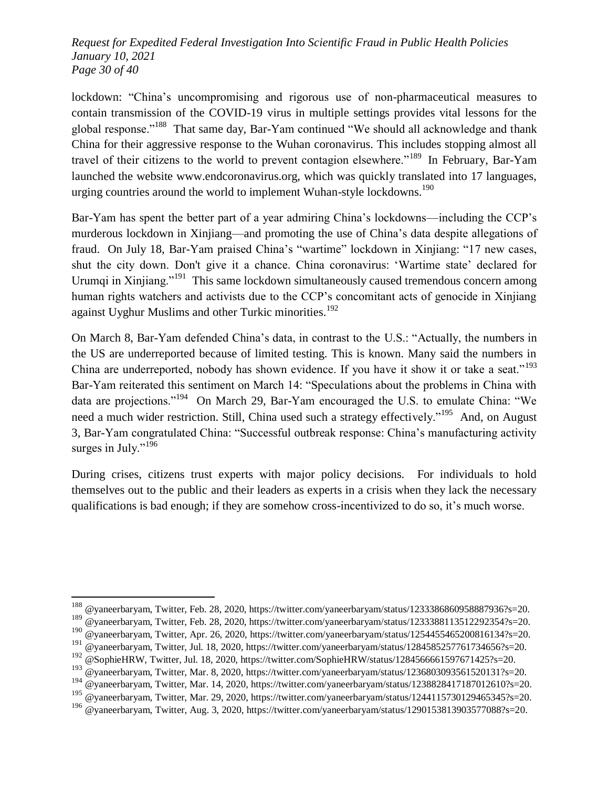*Request for Expedited Federal Investigation Into Scientific Fraud in Public Health Policies January 10, 2021 Page 30 of 40*

lockdown: "China's uncompromising and rigorous use of non-pharmaceutical measures to contain transmission of the COVID-19 virus in multiple settings provides vital lessons for the global response."<sup>188</sup> That same day, Bar-Yam continued "We should all acknowledge and thank China for their aggressive response to the Wuhan coronavirus. This includes stopping almost all travel of their citizens to the world to prevent contagion elsewhere.<sup> $189$ </sup> In February, Bar-Yam launched the website www.endcoronavirus.org, which was quickly translated into 17 languages, urging countries around the world to implement Wuhan-style lockdowns.<sup>190</sup>

Bar-Yam has spent the better part of a year admiring China's lockdowns—including the CCP's murderous lockdown in Xinjiang—and promoting the use of China's data despite allegations of fraud. On July 18, Bar-Yam praised China's "wartime" lockdown in Xinjiang: "17 new cases, shut the city down. Don't give it a chance. China coronavirus: ‗Wartime state' declared for Urumqi in Xinjiang."<sup>191</sup> This same lockdown simultaneously caused tremendous concern among human rights watchers and activists due to the CCP's concomitant acts of genocide in Xinjiang against Uyghur Muslims and other Turkic minorities.<sup>192</sup>

On March 8, Bar-Yam defended China's data, in contrast to the U.S.: "Actually, the numbers in the US are underreported because of limited testing. This is known. Many said the numbers in China are underreported, nobody has shown evidence. If you have it show it or take a seat."<sup>193</sup> Bar-Yam reiterated this sentiment on March 14: "Speculations about the problems in China with data are projections."<sup>194</sup> On March 29, Bar-Yam encouraged the U.S. to emulate China: "We need a much wider restriction. Still, China used such a strategy effectively."<sup>195</sup> And, on August 3, Bar-Yam congratulated China: "Successful outbreak response: China's manufacturing activity surges in July." $196$ 

During crises, citizens trust experts with major policy decisions. For individuals to hold themselves out to the public and their leaders as experts in a crisis when they lack the necessary qualifications is bad enough; if they are somehow cross-incentivized to do so, it's much worse.

<sup>&</sup>lt;sup>188</sup> @yaneerbaryam, Twitter, Feb. 28, 2020, https://twitter.com/yaneerbaryam/status/1233386860958887936?s=20.

<sup>189</sup> @yaneerbaryam, Twitter, Feb. 28, 2020, https://twitter.com/yaneerbaryam/status/1233388113512292354?s=20.

<sup>&</sup>lt;sup>190</sup> @yaneerbaryam, Twitter, Apr. 26, 2020, https://twitter.com/yaneerbaryam/status/1254455465200816134?s=20.

<sup>&</sup>lt;sup>191</sup> @yaneerbaryam, Twitter, Jul. 18, 2020, https://twitter.com/yaneerbaryam/status/1284585257761734656?s=20.

<sup>&</sup>lt;sup>192</sup> @SophieHRW, Twitter, Jul. 18, 2020, https://twitter.com/SophieHRW/status/1284566661597671425?s=20.

<sup>&</sup>lt;sup>193</sup> @vaneerbaryam, Twitter, Mar. 8, 2020, https://twitter.com/yaneerbaryam/status/1236803093561520131?s=20.

<sup>&</sup>lt;sup>194</sup> @vaneerbaryam, Twitter, Mar. 14, 2020, https://twitter.com/yaneerbaryam/status/1238828417187012610?s=20.

<sup>&</sup>lt;sup>195</sup> @vaneerbaryam, Twitter, Mar. 29, 2020, https://twitter.com/yaneerbaryam/status/1244115730129465345?s=20.

<sup>196</sup> @yaneerbaryam, Twitter, Aug. 3, 2020, https://twitter.com/yaneerbaryam/status/1290153813903577088?s=20.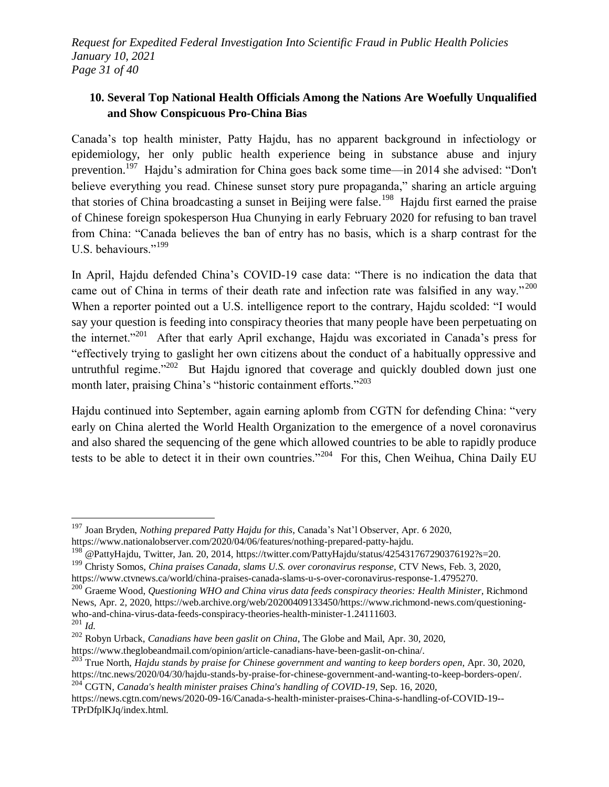*Request for Expedited Federal Investigation Into Scientific Fraud in Public Health Policies January 10, 2021 Page 31 of 40*

#### **10. Several Top National Health Officials Among the Nations Are Woefully Unqualified and Show Conspicuous Pro-China Bias**

Canada's top health minister, Patty Hajdu, has no apparent background in infectiology or epidemiology, her only public health experience being in substance abuse and injury prevention.<sup>197</sup> Hajdu's admiration for China goes back some time—in 2014 she advised: "Don't believe everything you read. Chinese sunset story pure propaganda," sharing an article arguing that stories of China broadcasting a sunset in Beijing were false.<sup>198</sup> Hajdu first earned the praise of Chinese foreign spokesperson Hua Chunying in early February 2020 for refusing to ban travel from China: "Canada believes the ban of entry has no basis, which is a sharp contrast for the U.S. behaviours."<sup>199</sup>

In April, Hajdu defended China's COVID-19 case data: "There is no indication the data that came out of China in terms of their death rate and infection rate was falsified in any way."<sup>200</sup> When a reporter pointed out a U.S. intelligence report to the contrary, Hajdu scolded: "I would say your question is feeding into conspiracy theories that many people have been perpetuating on the internet."<sup>201</sup> After that early April exchange, Hajdu was excoriated in Canada's press for ―effectively trying to gaslight her own citizens about the conduct of a habitually oppressive and untruthful regime."<sup>202</sup> But Hajdu ignored that coverage and quickly doubled down just one month later, praising China's "historic containment efforts."<sup>203</sup>

Hajdu continued into September, again earning aplomb from CGTN for defending China: "very early on China alerted the World Health Organization to the emergence of a novel coronavirus and also shared the sequencing of the gene which allowed countries to be able to rapidly produce tests to be able to detect it in their own countries."<sup>204</sup> For this, Chen Weihua, China Daily EU

<sup>197</sup> Joan Bryden, *Nothing prepared Patty Hajdu for this*, Canada's Nat'l Observer, Apr. 6 2020, https://www.nationalobserver.com/2020/04/06/features/nothing-prepared-patty-hajdu.

<sup>&</sup>lt;sup>198</sup> @PattyHajdu, Twitter, Jan. 20, 2014, https://twitter.com/PattyHajdu/status/425431767290376192?s=20.

<sup>199</sup> Christy Somos, *China praises Canada, slams U.S. over coronavirus response*, CTV News, Feb. 3, 2020, https://www.ctvnews.ca/world/china-praises-canada-slams-u-s-over-coronavirus-response-1.4795270.

<sup>200</sup> Graeme Wood, *Questioning WHO and China virus data feeds conspiracy theories: Health Minister*, Richmond News, Apr. 2, 2020, https://web.archive.org/web/20200409133450/https://www.richmond-news.com/questioningwho-and-china-virus-data-feeds-conspiracy-theories-health-minister-1.24111603.  $\frac{201}{201}$  *Id.* 

<sup>202</sup> Robyn Urback, *Canadians have been gaslit on China*, The Globe and Mail, Apr. 30, 2020, https://www.theglobeandmail.com/opinion/article-canadians-have-been-gaslit-on-china/.

<sup>203</sup> True North, *Hajdu stands by praise for Chinese government and wanting to keep borders open*, Apr. 30, 2020, https://tnc.news/2020/04/30/hajdu-stands-by-praise-for-chinese-government-and-wanting-to-keep-borders-open/.

<sup>204</sup> CGTN, *Canada's health minister praises China's handling of COVID-19*, Sep. 16, 2020,

https://news.cgtn.com/news/2020-09-16/Canada-s-health-minister-praises-China-s-handling-of-COVID-19-- TPrDfplKJq/index.html.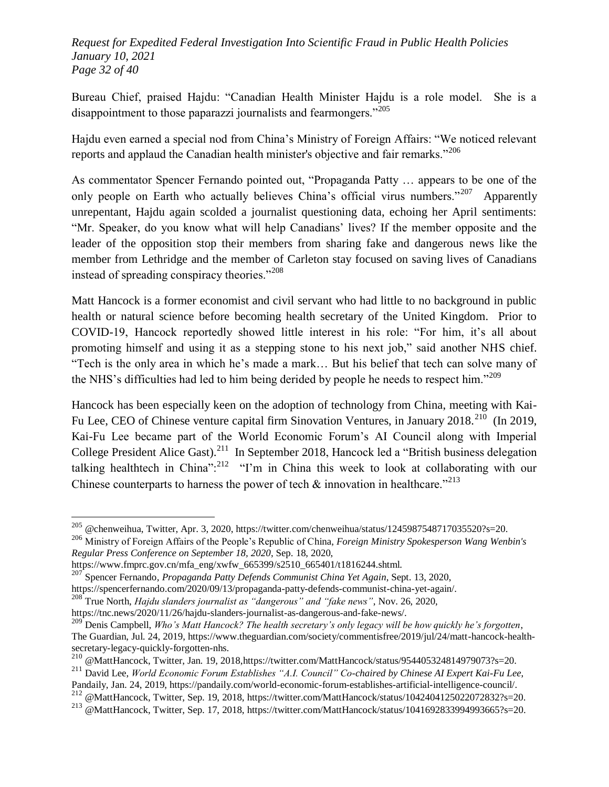*Request for Expedited Federal Investigation Into Scientific Fraud in Public Health Policies January 10, 2021 Page 32 of 40*

Bureau Chief, praised Hajdu: "Canadian Health Minister Hajdu is a role model. She is a disappointment to those paparazzi journalists and fearmongers."<sup>205</sup>

Hajdu even earned a special nod from China's Ministry of Foreign Affairs: "We noticed relevant reports and applaud the Canadian health minister's objective and fair remarks."<sup>206</sup>

As commentator Spencer Fernando pointed out, "Propaganda Patty ... appears to be one of the only people on Earth who actually believes China's official virus numbers."<sup>207</sup> Apparently unrepentant, Hajdu again scolded a journalist questioning data, echoing her April sentiments: "Mr. Speaker, do you know what will help Canadians' lives? If the member opposite and the leader of the opposition stop their members from sharing fake and dangerous news like the member from Lethridge and the member of Carleton stay focused on saving lives of Canadians instead of spreading conspiracy theories." $208$ 

Matt Hancock is a former economist and civil servant who had little to no background in public health or natural science before becoming health secretary of the United Kingdom. Prior to COVID-19, Hancock reportedly showed little interest in his role: "For him, it's all about promoting himself and using it as a stepping stone to his next job," said another NHS chief. ―Tech is the only area in which he's made a mark… But his belief that tech can solve many of the NHS's difficulties had led to him being derided by people he needs to respect him. $1209$ 

Hancock has been especially keen on the adoption of technology from China, meeting with Kai-Fu Lee, CEO of Chinese venture capital firm Sinovation Ventures, in January 2018.<sup>210</sup> (In 2019, Kai-Fu Lee became part of the World Economic Forum's AI Council along with Imperial College President Alice Gast).<sup>211</sup> In September 2018, Hancock led a "British business delegation talking healthtech in China": $^{212}$  "I'm in China this week to look at collaborating with our Chinese counterparts to harness the power of tech  $\&$  innovation in healthcare.<sup>7213</sup>

<sup>&</sup>lt;sup>205</sup> @chenweihua, Twitter, Apr. 3, 2020, https://twitter.com/chenweihua/status/1245987548717035520?s=20.

<sup>206</sup> Ministry of Foreign Affairs of the People's Republic of China, *Foreign Ministry Spokesperson Wang Wenbin's Regular Press Conference on September 18, 2020*, Sep. 18, 2020,

https://www.fmprc.gov.cn/mfa\_eng/xwfw\_665399/s2510\_665401/t1816244.shtml.

<sup>207</sup> Spencer Fernando, *Propaganda Patty Defends Communist China Yet Again*, Sept. 13, 2020,

https://spencerfernando.com/2020/09/13/propaganda-patty-defends-communist-china-yet-again/.

<sup>&</sup>lt;sup>208</sup> True North, *Hajdu slanders journalist as "dangerous" and "fake news"*, Nov. 26, 2020, https://tnc.news/2020/11/26/hajdu-slanders-journalist-as-dangerous-and-fake-news/.

<sup>&</sup>lt;sup>209</sup> Denis Campbell, *Who's Matt Hancock? The health secretary's only legacy will be how quickly he's forgotten*, The Guardian, Jul. 24, 2019, https://www.theguardian.com/society/commentisfree/2019/jul/24/matt-hancock-healthsecretary-legacy-quickly-forgotten-nhs.

<sup>210</sup> @MattHancock, Twitter, Jan. 19, 2018,https://twitter.com/MattHancock/status/954405324814979073?s=20.

<sup>&</sup>lt;sup>211</sup> David Lee, *World Economic Forum Establishes "A.I. Council" Co-chaired by Chinese AI Expert Kai-Fu Lee*, Pandaily, Jan. 24, 2019, https://pandaily.com/world-economic-forum-establishes-artificial-intelligence-council/.

<sup>212 @</sup>MattHancock, Twitter, Sep. 19, 2018, https://twitter.com/MattHancock/status/1042404125022072832?s=20.

<sup>213</sup> @MattHancock, Twitter, Sep. 17, 2018, https://twitter.com/MattHancock/status/1041692833994993665?s=20.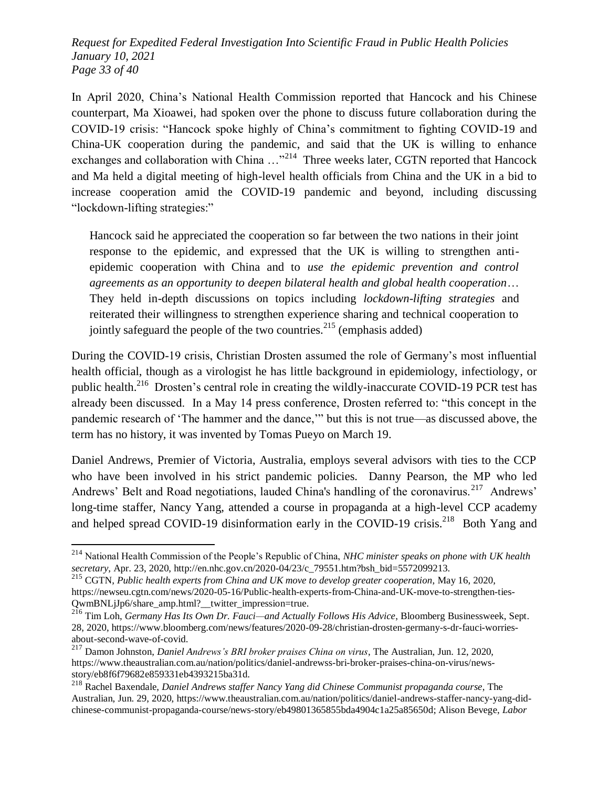*Request for Expedited Federal Investigation Into Scientific Fraud in Public Health Policies January 10, 2021 Page 33 of 40*

In April 2020, China's National Health Commission reported that Hancock and his Chinese counterpart, Ma Xioawei, had spoken over the phone to discuss future collaboration during the COVID-19 crisis: "Hancock spoke highly of China's commitment to fighting COVID-19 and China-UK cooperation during the pandemic, and said that the UK is willing to enhance exchanges and collaboration with China  $\ldots$ <sup>214</sup> Three weeks later, CGTN reported that Hancock and Ma held a digital meeting of high-level health officials from China and the UK in a bid to increase cooperation amid the COVID-19 pandemic and beyond, including discussing "lockdown-lifting strategies:"

Hancock said he appreciated the cooperation so far between the two nations in their joint response to the epidemic, and expressed that the UK is willing to strengthen antiepidemic cooperation with China and to *use the epidemic prevention and control agreements as an opportunity to deepen bilateral health and global health cooperation*… They held in-depth discussions on topics including *lockdown-lifting strategies* and reiterated their willingness to strengthen experience sharing and technical cooperation to jointly safeguard the people of the two countries.<sup>215</sup> (emphasis added)

During the COVID-19 crisis, Christian Drosten assumed the role of Germany's most influential health official, though as a virologist he has little background in epidemiology, infectiology, or public health.<sup>216</sup> Drosten's central role in creating the wildly-inaccurate COVID-19 PCR test has already been discussed. In a May 14 press conference, Drosten referred to: "this concept in the pandemic research of 'The hammer and the dance,'" but this is not true—as discussed above, the term has no history, it was invented by Tomas Pueyo on March 19.

Daniel Andrews, Premier of Victoria, Australia, employs several advisors with ties to the CCP who have been involved in his strict pandemic policies. Danny Pearson, the MP who led Andrews' Belt and Road negotiations, lauded China's handling of the coronavirus.<sup>217</sup> Andrews' long-time staffer, Nancy Yang, attended a course in propaganda at a high-level CCP academy and helped spread COVID-19 disinformation early in the COVID-19 crisis.<sup>218</sup> Both Yang and

<sup>214</sup> National Health Commission of the People's Republic of China, *NHC minister speaks on phone with UK health secretary*, Apr. 23, 2020, http://en.nhc.gov.cn/2020-04/23/c\_79551.htm?bsh\_bid=5572099213.

<sup>215</sup> CGTN, *Public health experts from China and UK move to develop greater cooperation*, May 16, 2020, https://newseu.cgtn.com/news/2020-05-16/Public-health-experts-from-China-and-UK-move-to-strengthen-ties-QwmBNLjJp6/share\_amp.html?\_\_twitter\_impression=true.

<sup>216</sup> Tim Loh, *Germany Has Its Own Dr. Fauci—and Actually Follows His Advice*, Bloomberg Businessweek, Sept. 28, 2020, https://www.bloomberg.com/news/features/2020-09-28/christian-drosten-germany-s-dr-fauci-worriesabout-second-wave-of-covid.

<sup>217</sup> Damon Johnston, *Daniel Andrews's BRI broker praises China on virus*, The Australian, Jun. 12, 2020, https://www.theaustralian.com.au/nation/politics/daniel-andrewss-bri-broker-praises-china-on-virus/newsstory/eb8f6f79682e859331eb4393215ba31d.

<sup>218</sup> Rachel Baxendale, *Daniel Andrews staffer Nancy Yang did Chinese Communist propaganda course*, The Australian, Jun. 29, 2020, https://www.theaustralian.com.au/nation/politics/daniel-andrews-staffer-nancy-yang-didchinese-communist-propaganda-course/news-story/eb49801365855bda4904c1a25a85650d; Alison Bevege, *Labor*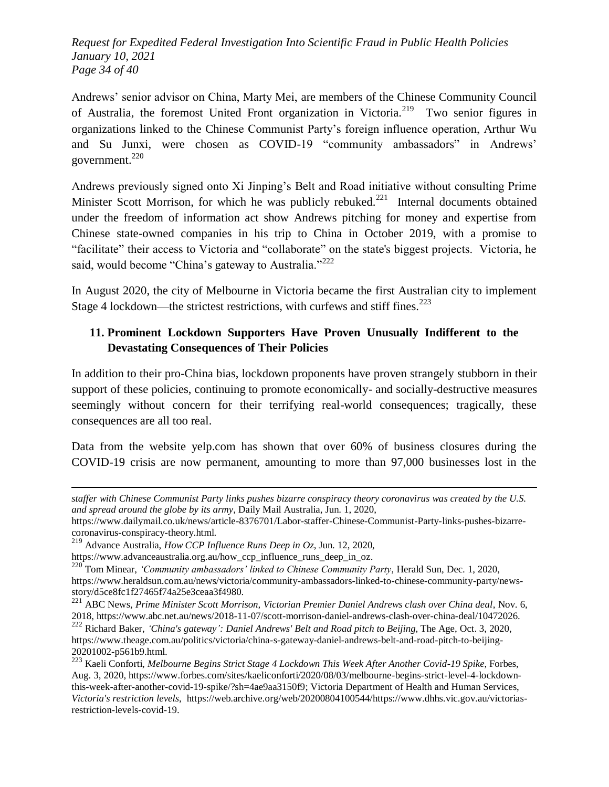*Request for Expedited Federal Investigation Into Scientific Fraud in Public Health Policies January 10, 2021 Page 34 of 40*

Andrews' senior advisor on China, Marty Mei, are members of the Chinese Community Council of Australia, the foremost United Front organization in Victoria.<sup>219</sup> Two senior figures in organizations linked to the Chinese Communist Party's foreign influence operation, Arthur Wu and Su Junxi, were chosen as COVID-19 "community ambassadors" in Andrews' government. $220$ 

Andrews previously signed onto Xi Jinping's Belt and Road initiative without consulting Prime Minister Scott Morrison, for which he was publicly rebuked.<sup>221</sup> Internal documents obtained under the freedom of information act show Andrews pitching for money and expertise from Chinese state-owned companies in his trip to China in October 2019, with a promise to "facilitate" their access to Victoria and "collaborate" on the state's biggest projects. Victoria, he said, would become "China's gateway to Australia."<sup>222</sup>

In August 2020, the city of Melbourne in Victoria became the first Australian city to implement Stage 4 lockdown—the strictest restrictions, with curfews and stiff fines.<sup>223</sup>

## **11. Prominent Lockdown Supporters Have Proven Unusually Indifferent to the Devastating Consequences of Their Policies**

In addition to their pro-China bias, lockdown proponents have proven strangely stubborn in their support of these policies, continuing to promote economically- and socially-destructive measures seemingly without concern for their terrifying real-world consequences; tragically, these consequences are all too real.

Data from the website yelp.com has shown that over 60% of business closures during the COVID-19 crisis are now permanent, amounting to more than 97,000 businesses lost in the

*staffer with Chinese Communist Party links pushes bizarre conspiracy theory coronavirus was created by the U.S. and spread around the globe by its army*, Daily Mail Australia, Jun. 1, 2020,

https://www.dailymail.co.uk/news/article-8376701/Labor-staffer-Chinese-Communist-Party-links-pushes-bizarrecoronavirus-conspiracy-theory.html.

<sup>219</sup> Advance Australia, *How CCP Influence Runs Deep in Oz*, Jun. 12, 2020,

https://www.advanceaustralia.org.au/how\_ccp\_influence\_runs\_deep\_in\_oz.

<sup>220</sup> Tom Minear, *‗Community ambassadors' linked to Chinese Community Party*, Herald Sun, Dec. 1, 2020, https://www.heraldsun.com.au/news/victoria/community-ambassadors-linked-to-chinese-community-party/newsstory/d5ce8fc1f27465f74a25e3ceaa3f4980.

<sup>221</sup> ABC News, *Prime Minister Scott Morrison, Victorian Premier Daniel Andrews clash over China deal*, Nov. 6, 2018, https://www.abc.net.au/news/2018-11-07/scott-morrison-daniel-andrews-clash-over-china-deal/10472026. <sup>222</sup> Richard Baker, *‗China's gateway': Daniel Andrews' Belt and Road pitch to Beijing*, The Age, Oct. 3, 2020, https://www.theage.com.au/politics/victoria/china-s-gateway-daniel-andrews-belt-and-road-pitch-to-beijing-20201002-p561b9.html.

<sup>223</sup> Kaeli Conforti, *Melbourne Begins Strict Stage 4 Lockdown This Week After Another Covid-19 Spike*, Forbes, Aug. 3, 2020, https://www.forbes.com/sites/kaeliconforti/2020/08/03/melbourne-begins-strict-level-4-lockdownthis-week-after-another-covid-19-spike/?sh=4ae9aa3150f9; Victoria Department of Health and Human Services, *Victoria's restriction levels*, https://web.archive.org/web/20200804100544/https://www.dhhs.vic.gov.au/victoriasrestriction-levels-covid-19.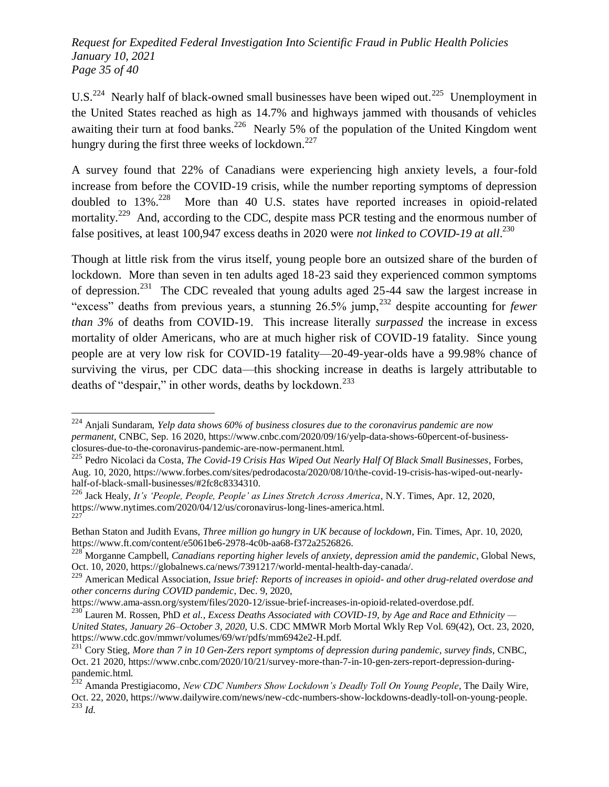*Request for Expedited Federal Investigation Into Scientific Fraud in Public Health Policies January 10, 2021 Page 35 of 40*

U.S.<sup>224</sup> Nearly half of black-owned small businesses have been wiped out.<sup>225</sup> Unemployment in the United States reached as high as 14.7% and highways jammed with thousands of vehicles awaiting their turn at food banks.<sup>226</sup> Nearly 5% of the population of the United Kingdom went hungry during the first three weeks of lockdown.<sup>227</sup>

A survey found that 22% of Canadians were experiencing high anxiety levels, a four-fold increase from before the COVID-19 crisis, while the number reporting symptoms of depression doubled to  $13\%$ <sup>228</sup> More than 40 U.S. states have reported increases in opioid-related mortality.<sup>229</sup> And, according to the CDC, despite mass PCR testing and the enormous number of false positives, at least 100,947 excess deaths in 2020 were *not linked to COVID-19 at all*. 230

Though at little risk from the virus itself, young people bore an outsized share of the burden of lockdown. More than seven in ten adults aged 18-23 said they experienced common symptoms of depression.<sup>231</sup> The CDC revealed that young adults aged 25-44 saw the largest increase in ―excess‖ deaths from previous years, a stunning 26.5% jump,<sup>232</sup> despite accounting for *fewer than 3%* of deaths from COVID-19. This increase literally *surpassed* the increase in excess mortality of older Americans, who are at much higher risk of COVID-19 fatality. Since young people are at very low risk for COVID-19 fatality—20-49-year-olds have a 99.98% chance of surviving the virus, per CDC data—this shocking increase in deaths is largely attributable to deaths of "despair," in other words, deaths by lockdown.<sup>233</sup>

l

https://www.ama-assn.org/system/files/2020-12/issue-brief-increases-in-opioid-related-overdose.pdf.

<sup>224</sup> Anjali Sundaram, *Yelp data shows 60% of business closures due to the coronavirus pandemic are now permanent*, CNBC, Sep. 16 2020, https://www.cnbc.com/2020/09/16/yelp-data-shows-60percent-of-businessclosures-due-to-the-coronavirus-pandemic-are-now-permanent.html.

<sup>225</sup> Pedro Nicolaci da Costa, *The Covid-19 Crisis Has Wiped Out Nearly Half Of Black Small Businesses*, Forbes, Aug. 10, 2020, https://www.forbes.com/sites/pedrodacosta/2020/08/10/the-covid-19-crisis-has-wiped-out-nearlyhalf-of-black-small-businesses/#2fc8c8334310.

<sup>226</sup> Jack Healy, *It's ‗People, People, People' as Lines Stretch Across America*, N.Y. Times, Apr. 12, 2020, https://www.nytimes.com/2020/04/12/us/coronavirus-long-lines-america.html. 227

Bethan Staton and Judith Evans, *Three million go hungry in UK because of lockdown*, Fin. Times, Apr. 10, 2020, https://www.ft.com/content/e5061be6-2978-4c0b-aa68-f372a2526826.

<sup>228</sup> Morganne Campbell, *Canadians reporting higher levels of anxiety, depression amid the pandemic*, Global News, Oct. 10, 2020, https://globalnews.ca/news/7391217/world-mental-health-day-canada/.

<sup>229</sup> American Medical Association, *Issue brief: Reports of increases in opioid- and other drug-related overdose and other concerns during COVID pandemic*, Dec. 9, 2020,

<sup>230</sup> Lauren M. Rossen, PhD *et al.*, *Excess Deaths Associated with COVID-19, by Age and Race and Ethnicity —*

*United States, January 26–October 3, 2020*, U.S. CDC MMWR Morb Mortal Wkly Rep Vol. 69(42), Oct. 23, 2020, https://www.cdc.gov/mmwr/volumes/69/wr/pdfs/mm6942e2-H.pdf.

<sup>231</sup> Cory Stieg, *More than 7 in 10 Gen-Zers report symptoms of depression during pandemic, survey finds*, CNBC, Oct. 21 2020, https://www.cnbc.com/2020/10/21/survey-more-than-7-in-10-gen-zers-report-depression-duringpandemic.html.

<sup>232</sup> Amanda Prestigiacomo, *New CDC Numbers Show Lockdown's Deadly Toll On Young People*, The Daily Wire, Oct. 22, 2020, https://www.dailywire.com/news/new-cdc-numbers-show-lockdowns-deadly-toll-on-young-people. <sup>233</sup> *Id.*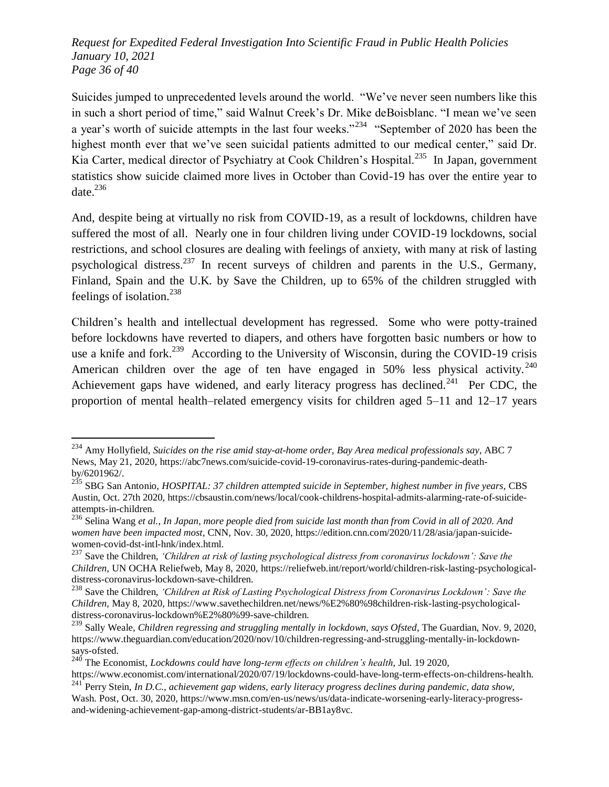*Request for Expedited Federal Investigation Into Scientific Fraud in Public Health Policies January 10, 2021 Page 36 of 40*

Suicides jumped to unprecedented levels around the world. "We've never seen numbers like this in such a short period of time," said Walnut Creek's Dr. Mike deBoisblanc. "I mean we've seen a year's worth of suicide attempts in the last four weeks."<sup>234</sup> "September of 2020 has been the highest month ever that we've seen suicidal patients admitted to our medical center," said Dr. Kia Carter, medical director of Psychiatry at Cook Children's Hospital.<sup>235</sup> In Japan, government statistics show suicide claimed more lives in October than Covid-19 has over the entire year to date. $^{236}$ 

And, despite being at virtually no risk from COVID-19, as a result of lockdowns, children have suffered the most of all. Nearly one in four children living under COVID-19 lockdowns, social restrictions, and school closures are dealing with feelings of anxiety, with many at risk of lasting psychological distress.<sup>237</sup> In recent surveys of children and parents in the U.S., Germany, Finland, Spain and the U.K. by Save the Children, up to 65% of the children struggled with feelings of isolation. $^{238}$ 

Children's health and intellectual development has regressed. Some who were potty-trained before lockdowns have reverted to diapers, and others have forgotten basic numbers or how to use a knife and fork.<sup>239</sup> According to the University of Wisconsin, during the COVID-19 crisis American children over the age of ten have engaged in 50% less physical activity.<sup>240</sup> Achievement gaps have widened, and early literacy progress has declined.<sup>241</sup> Per CDC, the proportion of mental health–related emergency visits for children aged 5–11 and 12–17 years

<sup>234</sup> Amy Hollyfield, *Suicides on the rise amid stay-at-home order, Bay Area medical professionals say*, ABC 7 News, May 21, 2020, https://abc7news.com/suicide-covid-19-coronavirus-rates-during-pandemic-deathby/6201962/.

<sup>235</sup> SBG San Antonio, *HOSPITAL: 37 children attempted suicide in September, highest number in five years*, CBS Austin, Oct. 27th 2020, https://cbsaustin.com/news/local/cook-childrens-hospital-admits-alarming-rate-of-suicideattempts-in-children.

<sup>236</sup> Selina Wang *et al.*, *In Japan, more people died from suicide last month than from Covid in all of 2020. And women have been impacted most*, CNN, Nov. 30, 2020, https://edition.cnn.com/2020/11/28/asia/japan-suicidewomen-covid-dst-intl-hnk/index.html.

<sup>237</sup> Save the Children, *‗Children at risk of lasting psychological distress from coronavirus lockdown': Save the Children*, UN OCHA Reliefweb, May 8, 2020, https://reliefweb.int/report/world/children-risk-lasting-psychologicaldistress-coronavirus-lockdown-save-children.

<sup>238</sup> Save the Children, *‗Children at Risk of Lasting Psychological Distress from Coronavirus Lockdown': Save the Children*, May 8, 2020, https://www.savethechildren.net/news/%E2%80%98children-risk-lasting-psychologicaldistress-coronavirus-lockdown%E2%80%99-save-children.

<sup>239</sup> Sally Weale, *Children regressing and struggling mentally in lockdown, says Ofsted*, The Guardian, Nov. 9, 2020, https://www.theguardian.com/education/2020/nov/10/children-regressing-and-struggling-mentally-in-lockdownsays-ofsted.

<sup>240</sup> The Economist, *Lockdowns could have long-term effects on children's health*, Jul. 19 2020, https://www.economist.com/international/2020/07/19/lockdowns-could-have-long-term-effects-on-childrens-health.

<sup>241</sup> Perry Stein, *In D.C., achievement gap widens, early literacy progress declines during pandemic, data show*, Wash. Post, Oct. 30, 2020, https://www.msn.com/en-us/news/us/data-indicate-worsening-early-literacy-progressand-widening-achievement-gap-among-district-students/ar-BB1ay8vc.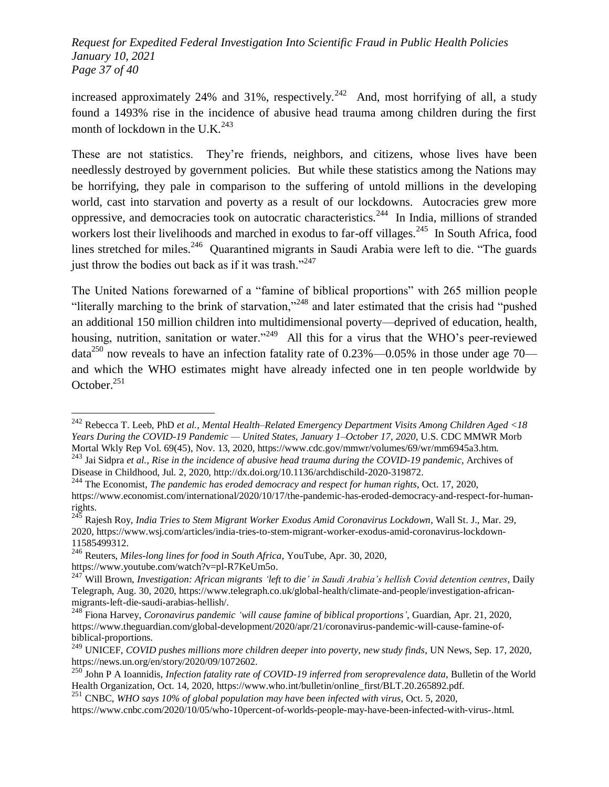*Request for Expedited Federal Investigation Into Scientific Fraud in Public Health Policies January 10, 2021 Page 37 of 40*

increased approximately 24% and 31%, respectively.<sup>242</sup> And, most horrifying of all, a study found a 1493% rise in the incidence of abusive head trauma among children during the first month of lockdown in the U.K. $^{243}$ 

These are not statistics. They're friends, neighbors, and citizens, whose lives have been needlessly destroyed by government policies. But while these statistics among the Nations may be horrifying, they pale in comparison to the suffering of untold millions in the developing world, cast into starvation and poverty as a result of our lockdowns. Autocracies grew more oppressive, and democracies took on autocratic characteristics.<sup>244</sup> In India, millions of stranded workers lost their livelihoods and marched in exodus to far-off villages.<sup>245</sup> In South Africa, food lines stretched for miles.<sup>246</sup> Quarantined migrants in Saudi Arabia were left to die. "The guards just throw the bodies out back as if it was trash." $247$ 

The United Nations forewarned of a "famine of biblical proportions" with 265 million people "literally marching to the brink of starvation,"<sup>248</sup> and later estimated that the crisis had "pushed" an additional 150 million children into multidimensional poverty—deprived of education, health, housing, nutrition, sanitation or water."<sup>249</sup> All this for a virus that the WHO's peer-reviewed data<sup>250</sup> now reveals to have an infection fatality rate of  $0.23\%$  — $0.05\%$  in those under age 70 and which the WHO estimates might have already infected one in ten people worldwide by October. $251$ 

<sup>242</sup> Rebecca T. Leeb, PhD *et al.*, *Mental Health–Related Emergency Department Visits Among Children Aged <18 Years During the COVID-19 Pandemic — United States, January 1–October 17, 2020*, U.S. CDC MMWR Morb Mortal Wkly Rep Vol. 69(45), Nov. 13, 2020, https://www.cdc.gov/mmwr/volumes/69/wr/mm6945a3.htm.

<sup>243</sup> Jai Sidpra *et al.*, *Rise in the incidence of abusive head trauma during the COVID-19 pandemic*, Archives of Disease in Childhood, Jul. 2, 2020, http://dx.doi.org/10.1136/archdischild-2020-319872.

<sup>244</sup> The Economist, *The pandemic has eroded democracy and respect for human rights*, Oct. 17, 2020, https://www.economist.com/international/2020/10/17/the-pandemic-has-eroded-democracy-and-respect-for-humanrights.

<sup>245</sup> Rajesh Roy, *India Tries to Stem Migrant Worker Exodus Amid Coronavirus Lockdown*, Wall St. J., Mar. 29, 2020, https://www.wsj.com/articles/india-tries-to-stem-migrant-worker-exodus-amid-coronavirus-lockdown-11585499312.

<sup>246</sup> Reuters, *Miles-long lines for food in South Africa*, YouTube, Apr. 30, 2020, https://www.youtube.com/watch?v=pl-R7KeUm5o.

<sup>247</sup> Will Brown, *Investigation: African migrants ‗left to die' in Saudi Arabia's hellish Covid detention centres*, Daily Telegraph, Aug. 30, 2020, https://www.telegraph.co.uk/global-health/climate-and-people/investigation-africanmigrants-left-die-saudi-arabias-hellish/.

<sup>248</sup> Fiona Harvey, *Coronavirus pandemic ‗will cause famine of biblical proportions'*, Guardian, Apr. 21, 2020, https://www.theguardian.com/global-development/2020/apr/21/coronavirus-pandemic-will-cause-famine-ofbiblical-proportions.

<sup>249</sup> UNICEF, *COVID pushes millions more children deeper into poverty, new study finds*, UN News, Sep. 17, 2020, https://news.un.org/en/story/2020/09/1072602.

<sup>250</sup> John P A Ioannidis, *Infection fatality rate of COVID-19 inferred from seroprevalence data*, Bulletin of the World Health Organization, Oct. 14, 2020, https://www.who.int/bulletin/online\_first/BLT.20.265892.pdf.

<sup>251</sup> CNBC, *WHO says 10% of global population may have been infected with virus*, Oct. 5, 2020,

https://www.cnbc.com/2020/10/05/who-10percent-of-worlds-people-may-have-been-infected-with-virus-.html.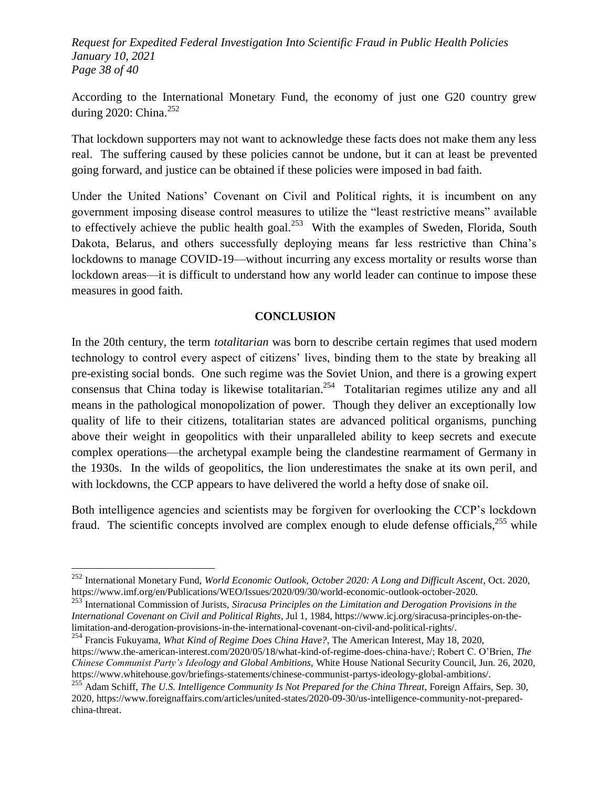*Request for Expedited Federal Investigation Into Scientific Fraud in Public Health Policies January 10, 2021 Page 38 of 40*

According to the International Monetary Fund, the economy of just one G20 country grew during 2020: China.<sup>252</sup>

That lockdown supporters may not want to acknowledge these facts does not make them any less real. The suffering caused by these policies cannot be undone, but it can at least be prevented going forward, and justice can be obtained if these policies were imposed in bad faith.

Under the United Nations' Covenant on Civil and Political rights, it is incumbent on any government imposing disease control measures to utilize the "least restrictive means" available to effectively achieve the public health goal.<sup>253</sup> With the examples of Sweden, Florida, South Dakota, Belarus, and others successfully deploying means far less restrictive than China's lockdowns to manage COVID-19—without incurring any excess mortality or results worse than lockdown areas—it is difficult to understand how any world leader can continue to impose these measures in good faith.

#### **CONCLUSION**

In the 20th century, the term *totalitarian* was born to describe certain regimes that used modern technology to control every aspect of citizens' lives, binding them to the state by breaking all pre-existing social bonds. One such regime was the Soviet Union, and there is a growing expert consensus that China today is likewise totalitarian.<sup>254</sup> Totalitarian regimes utilize any and all means in the pathological monopolization of power. Though they deliver an exceptionally low quality of life to their citizens, totalitarian states are advanced political organisms, punching above their weight in geopolitics with their unparalleled ability to keep secrets and execute complex operations—the archetypal example being the clandestine rearmament of Germany in the 1930s. In the wilds of geopolitics, the lion underestimates the snake at its own peril, and with lockdowns, the CCP appears to have delivered the world a hefty dose of snake oil.

Both intelligence agencies and scientists may be forgiven for overlooking the CCP's lockdown fraud. The scientific concepts involved are complex enough to elude defense officials,  $255$  while

<sup>252</sup> International Monetary Fund, *World Economic Outlook, October 2020: A Long and Difficult Ascent*, Oct. 2020, https://www.imf.org/en/Publications/WEO/Issues/2020/09/30/world-economic-outlook-october-2020.

<sup>253</sup> International Commission of Jurists, *Siracusa Principles on the Limitation and Derogation Provisions in the International Covenant on Civil and Political Rights*, Jul 1, 1984, https://www.icj.org/siracusa-principles-on-thelimitation-and-derogation-provisions-in-the-international-covenant-on-civil-and-political-rights/.

<sup>254</sup> Francis Fukuyama, *What Kind of Regime Does China Have?*, The American Interest, May 18, 2020, https://www.the-american-interest.com/2020/05/18/what-kind-of-regime-does-china-have/; Robert C. O'Brien, *The Chinese Communist Party's Ideology and Global Ambitions*, White House National Security Council, Jun. 26, 2020, https://www.whitehouse.gov/briefings-statements/chinese-communist-partys-ideology-global-ambitions/.

<sup>255</sup> Adam Schiff, *The U.S. Intelligence Community Is Not Prepared for the China Threat*, Foreign Affairs, Sep. 30, 2020, https://www.foreignaffairs.com/articles/united-states/2020-09-30/us-intelligence-community-not-preparedchina-threat.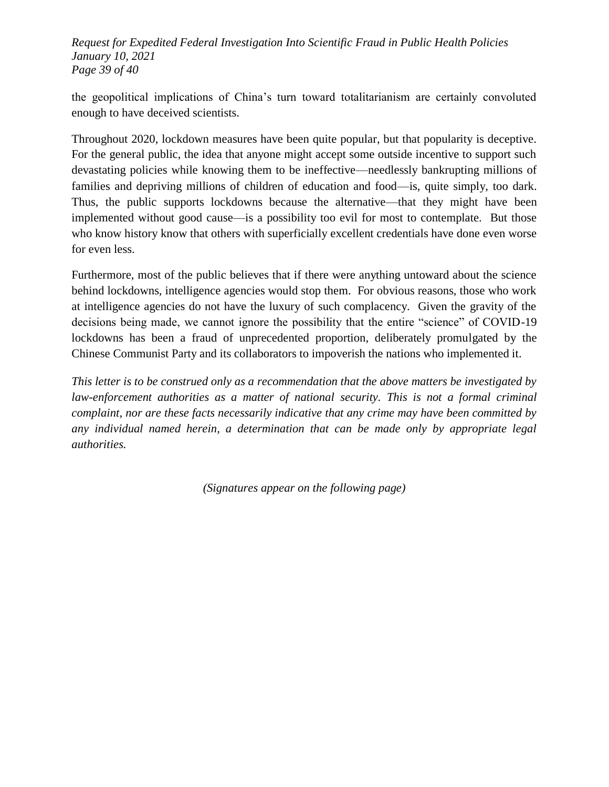*Request for Expedited Federal Investigation Into Scientific Fraud in Public Health Policies January 10, 2021 Page 39 of 40*

the geopolitical implications of China's turn toward totalitarianism are certainly convoluted enough to have deceived scientists.

Throughout 2020, lockdown measures have been quite popular, but that popularity is deceptive. For the general public, the idea that anyone might accept some outside incentive to support such devastating policies while knowing them to be ineffective—needlessly bankrupting millions of families and depriving millions of children of education and food—is, quite simply, too dark. Thus, the public supports lockdowns because the alternative—that they might have been implemented without good cause—is a possibility too evil for most to contemplate. But those who know history know that others with superficially excellent credentials have done even worse for even less.

Furthermore, most of the public believes that if there were anything untoward about the science behind lockdowns, intelligence agencies would stop them. For obvious reasons, those who work at intelligence agencies do not have the luxury of such complacency. Given the gravity of the decisions being made, we cannot ignore the possibility that the entire "science" of COVID-19 lockdowns has been a fraud of unprecedented proportion, deliberately promulgated by the Chinese Communist Party and its collaborators to impoverish the nations who implemented it.

*This letter is to be construed only as a recommendation that the above matters be investigated by law-enforcement authorities as a matter of national security. This is not a formal criminal complaint, nor are these facts necessarily indicative that any crime may have been committed by any individual named herein, a determination that can be made only by appropriate legal authorities.*

*(Signatures appear on the following page)*